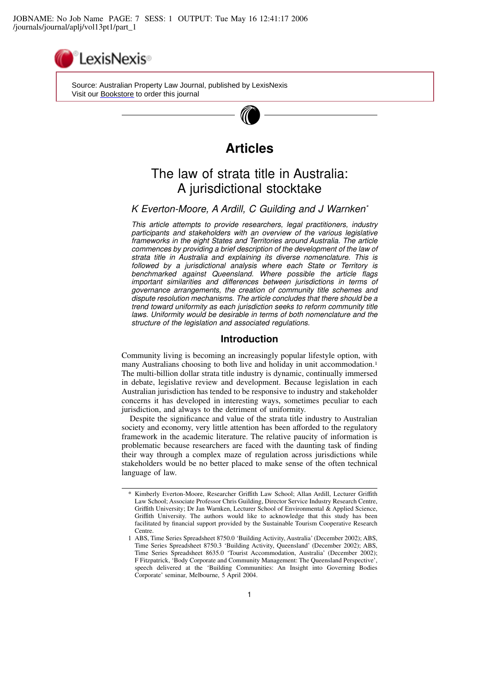

 Source: Australian Property Law Journal, published by LexisNexis Visit our [Bookstore](http://www.lexisnexis.com/store/catalog/catalog.jsp?pageName=catalogProducts&catId=9991&id=cat30006) to order this journal

# **Articles**

# The law of strata title in Australia: A jurisdictional stocktake

# K Everton-Moore, A Ardill, C Guilding and J Warnken\*

This article attempts to provide researchers, legal practitioners, industry participants and stakeholders with an overview of the various legislative frameworks in the eight States and Territories around Australia. The article commences by providing a brief description of the development of the law of strata title in Australia and explaining its diverse nomenclature. This is followed by a jurisdictional analysis where each State or Territory is benchmarked against Queensland. Where possible the article flags important similarities and differences between jurisdictions in terms of governance arrangements, the creation of community title schemes and dispute resolution mechanisms. The article concludes that there should be a trend toward uniformity as each jurisdiction seeks to reform community title laws. Uniformity would be desirable in terms of both nomenclature and the structure of the legislation and associated regulations.

### Introduction

Community living is becoming an increasingly popular lifestyle option, with many Australians choosing to both live and holiday in unit accommodation.<sup>1</sup> The multi-billion dollar strata title industry is dynamic, continually immersed in debate, legislative review and development. Because legislation in each Australian jurisdiction has tended to be responsive to industry and stakeholder concerns it has developed in interesting ways, sometimes peculiar to each jurisdiction, and always to the detriment of uniformity.

Despite the significance and value of the strata title industry to Australian society and economy, very little attention has been afforded to the regulatory framework in the academic literature. The relative paucity of information is problematic because researchers are faced with the daunting task of finding their way through a complex maze of regulation across jurisdictions while stakeholders would be no better placed to make sense of the often technical language of law.

<sup>\*</sup> Kimberly Everton-Moore, Researcher Griffith Law School; Allan Ardill, Lecturer Griffith Law School; Associate Professor Chris Guilding, Director Service Industry Research Centre, Griffith University; Dr Jan Warnken, Lecturer School of Environmental & Applied Science, Griffith University. The authors would like to acknowledge that this study has been facilitated by financial support provided by the Sustainable Tourism Cooperative Research Centre.

<sup>1</sup> ABS, Time Series Spreadsheet 8750.0 'Building Activity, Australia' (December 2002); ABS, Time Series Spreadsheet 8750.3 'Building Activity, Queensland' (December 2002); ABS, Time Series Spreadsheet 8635.0 'Tourist Accommodation, Australia' (December 2002); F Fitzpatrick, 'Body Corporate and Community Management: The Queensland Perspective', speech delivered at the 'Building Communities: An Insight into Governing Bodies Corporate' seminar, Melbourne, 5 April 2004.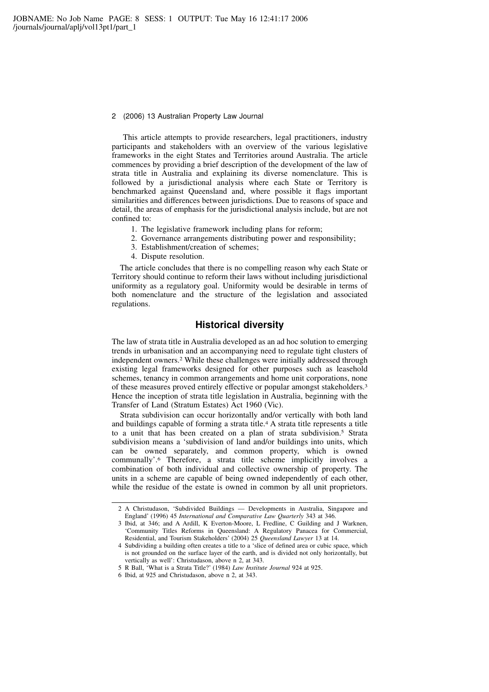This article attempts to provide researchers, legal practitioners, industry participants and stakeholders with an overview of the various legislative frameworks in the eight States and Territories around Australia. The article commences by providing a brief description of the development of the law of strata title in Australia and explaining its diverse nomenclature. This is followed by a jurisdictional analysis where each State or Territory is benchmarked against Queensland and, where possible it flags important similarities and differences between jurisdictions. Due to reasons of space and detail, the areas of emphasis for the jurisdictional analysis include, but are not confined to:

- 1. The legislative framework including plans for reform;
- 2. Governance arrangements distributing power and responsibility;
- 3. Establishment/creation of schemes;
- 4. Dispute resolution.

The article concludes that there is no compelling reason why each State or Territory should continue to reform their laws without including jurisdictional uniformity as a regulatory goal. Uniformity would be desirable in terms of both nomenclature and the structure of the legislation and associated regulations.

# Historical diversity

The law of strata title in Australia developed as an ad hoc solution to emerging trends in urbanisation and an accompanying need to regulate tight clusters of independent owners.<sup>2</sup> While these challenges were initially addressed through existing legal frameworks designed for other purposes such as leasehold schemes, tenancy in common arrangements and home unit corporations, none of these measures proved entirely effective or popular amongst stakeholders.<sup>3</sup> Hence the inception of strata title legislation in Australia, beginning with the Transfer of Land (Stratum Estates) Act 1960 (Vic).

Strata subdivision can occur horizontally and/or vertically with both land and buildings capable of forming a strata title.<sup>4</sup> A strata title represents a title to a unit that has been created on a plan of strata subdivision.<sup>5</sup> Strata subdivision means a 'subdivision of land and/or buildings into units, which can be owned separately, and common property, which is owned communally'.<sup>6</sup> Therefore, a strata title scheme implicitly involves a combination of both individual and collective ownership of property. The units in a scheme are capable of being owned independently of each other, while the residue of the estate is owned in common by all unit proprietors.

5 R Ball, 'What is a Strata Title?' (1984) Law Institute Journal 924 at 925.

<sup>2</sup> A Christudason, 'Subdivided Buildings — Developments in Australia, Singapore and England' (1996) 45 International and Comparative Law Quarterly 343 at 346.

<sup>3</sup> Ibid, at 346; and A Ardill, K Everton-Moore, L Fredline, C Guilding and J Warknen, 'Community Titles Reforms in Queensland: A Regulatory Panacea for Commercial, Residential, and Tourism Stakeholders' (2004) 25 Queensland Lawyer 13 at 14.

<sup>4</sup> Subdividing a building often creates a title to a 'slice of defined area or cubic space, which is not grounded on the surface layer of the earth, and is divided not only horizontally, but vertically as well': Christudason, above n 2, at 343.

<sup>6</sup> Ibid, at 925 and Christudason, above n 2, at 343.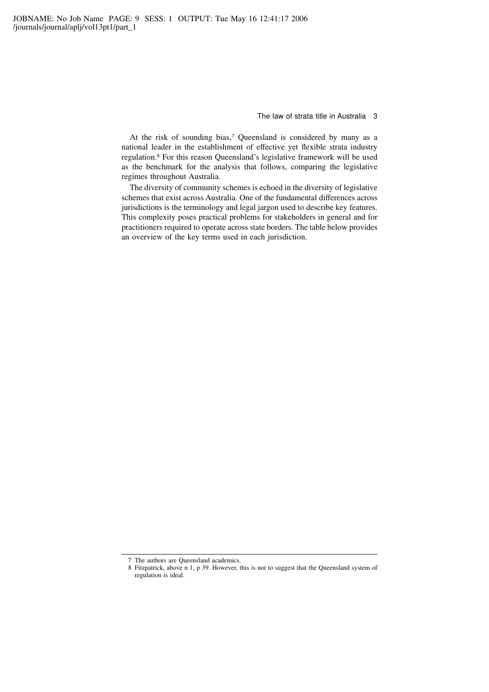At the risk of sounding bias,<sup>7</sup> Queensland is considered by many as a national leader in the establishment of effective yet flexible strata industry regulation.<sup>8</sup> For this reason Queensland's legislative framework will be used as the benchmark for the analysis that follows, comparing the legislative regimes throughout Australia.

The diversity of community schemes is echoed in the diversity of legislative schemes that exist across Australia. One of the fundamental differences across jurisdictions is the terminology and legal jargon used to describe key features. This complexity poses practical problems for stakeholders in general and for practitioners required to operate across state borders. The table below provides an overview of the key terms used in each jurisdiction.

<sup>7</sup> The authors are Queensland academics.

<sup>8</sup> Fitzpatrick, above n 1, p 39. However, this is not to suggest that the Queensland system of regulation is ideal.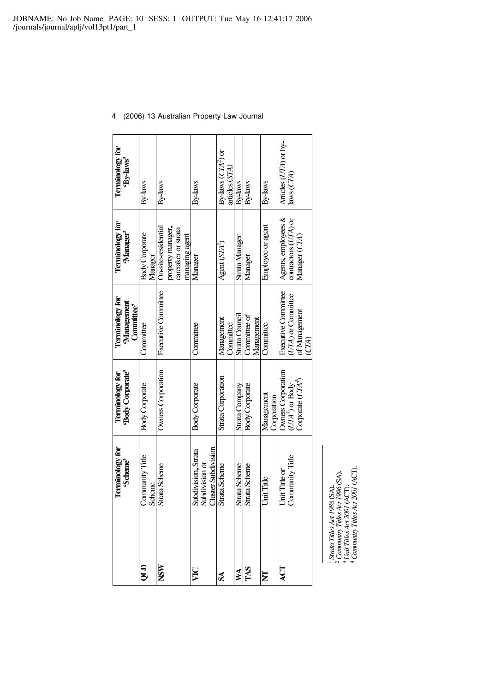| Terminology for<br>'Scheme'                                  | 'Body Corporate'<br><b>Terminology for</b>                   | Terminology for<br>Management<br>Committee <sup>9</sup>                    | Terminology for<br>'Manager'                                                      | Terminology for<br>'By-laws'                    |
|--------------------------------------------------------------|--------------------------------------------------------------|----------------------------------------------------------------------------|-----------------------------------------------------------------------------------|-------------------------------------------------|
| Community Title<br>Scheme                                    | <b>Body Corporate</b>                                        | Committee                                                                  | <b>Body Corporate</b><br>Manager                                                  | By-laws                                         |
| Strata Scherne                                               | Owners Corporation                                           | <b>Executive Committee</b>                                                 | On site-residential<br>property manager,<br>caretaker or strata<br>managing agent | By laws                                         |
| Cluster Subdivision<br>Subdivision, Strata<br>Subdivision or | Body Corporate                                               | Committee                                                                  | Manager                                                                           | By-laws                                         |
| Strata Scherne                                               | Strata Corporation                                           | Management<br>Committee                                                    | Agent (STA <sup>1</sup> )                                                         | By-laws $CTA2$ or<br>articles (STA              |
| Strata Scherne                                               | Strata Company                                               | Strata Council                                                             | Strata Manager                                                                    | By laws                                         |
| Strata Scheme                                                | <b>Body Corporate</b>                                        | Committee of<br>Management                                                 | Manager                                                                           | By-laws                                         |
| Unit Title                                                   | Management<br>Corporation                                    | Committee                                                                  | Employee or agent                                                                 | By laws                                         |
| Community Title<br>Unit Title or                             | Owners Corporation<br>Corporate $(CH4)$<br>$(UTA^3)$ or Body | <b>Executive Committee</b><br>( <i>UTA</i> ) or Committee<br>of Management | Agents, employees &<br>contractors (UTA) or<br>Manager (CTA)                      | Articles (UTA) or by<br>$_{\text{laws}}$ $CTA)$ |

 $^1$  Strata Titles Act 1988 (SA).<br>  $^2$  Community Titles Act 1996 (SA).<br>  $^3$  Unit Titles Act 2001 (ACT).<br>  $^4$  Community Titles Act 2001 (ACT).

4 (2006) 13 Australian Property Law Journal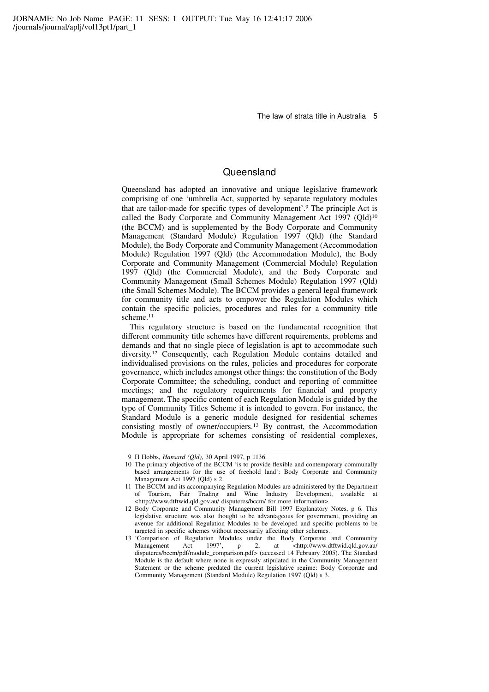# **Queensland**

Queensland has adopted an innovative and unique legislative framework comprising of one 'umbrella Act, supported by separate regulatory modules that are tailor-made for specific types of development'.<sup>9</sup> The principle Act is called the Body Corporate and Community Management Act 1997 (Qld)<sup>10</sup> (the BCCM) and is supplemented by the Body Corporate and Community Management (Standard Module) Regulation 1997 (Qld) (the Standard Module), the Body Corporate and Community Management (Accommodation Module) Regulation 1997 (Qld) (the Accommodation Module), the Body Corporate and Community Management (Commercial Module) Regulation 1997 (Qld) (the Commercial Module), and the Body Corporate and Community Management (Small Schemes Module) Regulation 1997 (Qld) (the Small Schemes Module). The BCCM provides a general legal framework for community title and acts to empower the Regulation Modules which contain the specific policies, procedures and rules for a community title scheme.<sup>11</sup>

This regulatory structure is based on the fundamental recognition that different community title schemes have different requirements, problems and demands and that no single piece of legislation is apt to accommodate such diversity.<sup>12</sup> Consequently, each Regulation Module contains detailed and individualised provisions on the rules, policies and procedures for corporate governance, which includes amongst other things: the constitution of the Body Corporate Committee; the scheduling, conduct and reporting of committee meetings; and the regulatory requirements for financial and property management. The specific content of each Regulation Module is guided by the type of Community Titles Scheme it is intended to govern. For instance, the Standard Module is a generic module designed for residential schemes consisting mostly of owner/occupiers.<sup>13</sup> By contrast, the Accommodation Module is appropriate for schemes consisting of residential complexes,

<sup>9</sup> H Hobbs, Hansard (Qld), 30 April 1997, p 1136.

<sup>10</sup> The primary objective of the BCCM 'is to provide flexible and contemporary communally based arrangements for the use of freehold land': Body Corporate and Community Management Act 1997 (Qld) s 2.

<sup>11</sup> The BCCM and its accompanying Regulation Modules are administered by the Department of Tourism, Fair Trading and Wine Industry Development, available at <http://www.dtftwid.qld.gov.au/ disputeres/bccm/ for more information>.

<sup>12</sup> Body Corporate and Community Management Bill 1997 Explanatory Notes, p 6. This legislative structure was also thought to be advantageous for government, providing an avenue for additional Regulation Modules to be developed and specific problems to be targeted in specific schemes without necessarily affecting other schemes.

<sup>13 &#</sup>x27;Comparison of Regulation Modules under the Body Corporate and Community<br>Management Act 1997', p 2, at <http://www.dtftwid.qld.gov.au/ Management Act 1997', p 2, at <http://www.dtftwid.qld.gov.au/ disputeres/bccm/pdf/module\_comparison.pdf> (accessed 14 February 2005). The Standard Module is the default where none is expressly stipulated in the Community Management Statement or the scheme predated the current legislative regime: Body Corporate and Community Management (Standard Module) Regulation 1997 (Qld) s 3.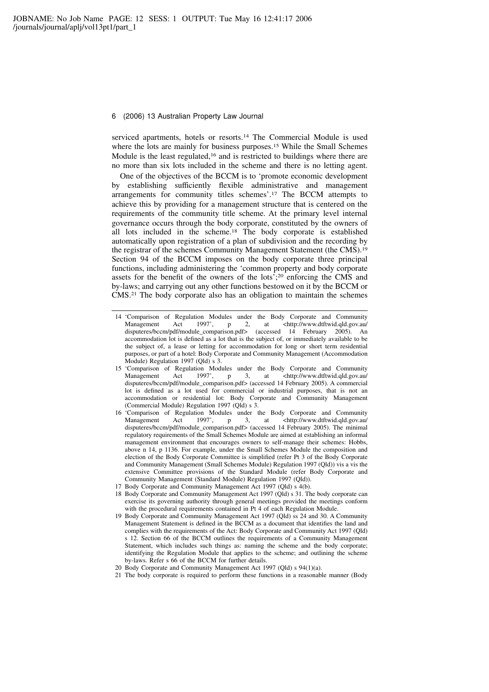serviced apartments, hotels or resorts.<sup>14</sup> The Commercial Module is used where the lots are mainly for business purposes.<sup>15</sup> While the Small Schemes Module is the least regulated,<sup>16</sup> and is restricted to buildings where there are no more than six lots included in the scheme and there is no letting agent.

One of the objectives of the BCCM is to 'promote economic development by establishing sufficiently flexible administrative and management arrangements for community titles schemes'.<sup>17</sup> The BCCM attempts to achieve this by providing for a management structure that is centered on the requirements of the community title scheme. At the primary level internal governance occurs through the body corporate, constituted by the owners of all lots included in the scheme.<sup>18</sup> The body corporate is established automatically upon registration of a plan of subdivision and the recording by the registrar of the schemes Community Management Statement (the CMS).<sup>19</sup> Section 94 of the BCCM imposes on the body corporate three principal functions, including administering the 'common property and body corporate assets for the benefit of the owners of the lots';<sup>20</sup> enforcing the CMS and by-laws; and carrying out any other functions bestowed on it by the BCCM or CMS.<sup>21</sup> The body corporate also has an obligation to maintain the schemes

- 14 'Comparison of Regulation Modules under the Body Corporate and Community Management Act 1997', p 2, at <http://www.dtftwid.qld.gov.au/ Act 1997', p 2, at <http://www.dtftwid.qld.gov.au/ disputeres/bccm/pdf/module\_comparison.pdf> (accessed 14 February 2005). An accommodation lot is defined as a lot that is the subject of, or immediately available to be the subject of, a lease or letting for accommodation for long or short term residential purposes, or part of a hotel: Body Corporate and Community Management (Accommodation Module) Regulation 1997 (Qld) s 3.
- 15 'Comparison of Regulation Modules under the Body Corporate and Community Management Act 1997', p 3, at <http://www.dtftwid.qld.gov.au/ Management Act 1997', p 3, at <http://www.dtftwid.qld.gov.au/ disputeres/bccm/pdf/module\_comparison.pdf> (accessed 14 February 2005). A commercial lot is defined as a lot used for commercial or industrial purposes, that is not an accommodation or residential lot: Body Corporate and Community Management (Commercial Module) Regulation 1997 (Qld) s 3.
- 16 'Comparison of Regulation Modules under the Body Corporate and Community<br>Management Act 1997', p 3, at <http://www.dtftwid.qld.gov.au/ Management Act 1997', p 3, at <http://www.dtftwid.qld.gov.au/ disputeres/bccm/pdf/module\_comparison.pdf> (accessed 14 February 2005). The minimal regulatory requirements of the Small Schemes Module are aimed at establishing an informal management environment that encourages owners to self-manage their schemes: Hobbs, above n 14, p 1136. For example, under the Small Schemes Module the composition and election of the Body Corporate Committee is simplified (refer Pt 3 of the Body Corporate and Community Management (Small Schemes Module) Regulation 1997 (Qld)) vis a vis the extensive Committee provisions of the Standard Module (refer Body Corporate and Community Management (Standard Module) Regulation 1997 (Qld)).
- 17 Body Corporate and Community Management Act 1997 (Qld) s 4(b).
- 18 Body Corporate and Community Management Act 1997 (Qld) s 31. The body corporate can exercise its governing authority through general meetings provided the meetings conform with the procedural requirements contained in Pt 4 of each Regulation Module.
- 19 Body Corporate and Community Management Act 1997 (Qld) ss 24 and 30. A Community Management Statement is defined in the BCCM as a document that identifies the land and complies with the requirements of the Act: Body Corporate and Community Act 1997 (Qld) s 12. Section 66 of the BCCM outlines the requirements of a Community Management Statement, which includes such things as: naming the scheme and the body corporate; identifying the Regulation Module that applies to the scheme; and outlining the scheme by-laws. Refer s 66 of the BCCM for further details.
- 20 Body Corporate and Community Management Act 1997 (Qld) s 94(1)(a).
- 21 The body corporate is required to perform these functions in a reasonable manner (Body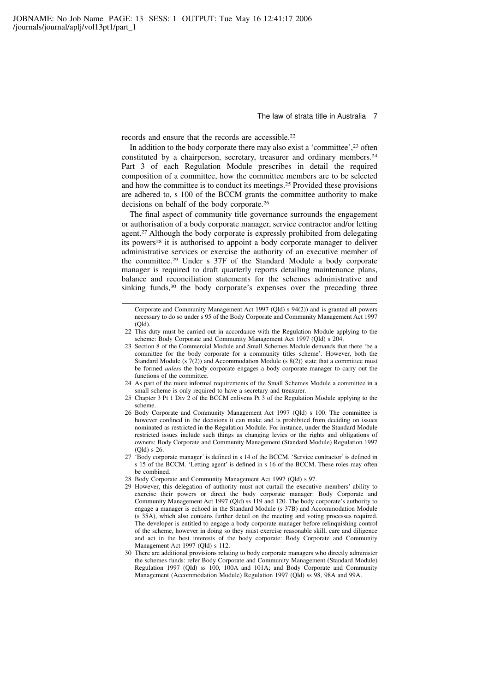records and ensure that the records are accessible.<sup>22</sup>

In addition to the body corporate there may also exist a 'committee',<sup>23</sup> often constituted by a chairperson, secretary, treasurer and ordinary members.<sup>24</sup> Part 3 of each Regulation Module prescribes in detail the required composition of a committee, how the committee members are to be selected and how the committee is to conduct its meetings.<sup>25</sup> Provided these provisions are adhered to, s 100 of the BCCM grants the committee authority to make decisions on behalf of the body corporate.<sup>26</sup>

The final aspect of community title governance surrounds the engagement or authorisation of a body corporate manager, service contractor and/or letting agent.<sup>27</sup> Although the body corporate is expressly prohibited from delegating its powers<sup>28</sup> it is authorised to appoint a body corporate manager to deliver administrative services or exercise the authority of an executive member of the committee.<sup>29</sup> Under s 37F of the Standard Module a body corporate manager is required to draft quarterly reports detailing maintenance plans, balance and reconciliation statements for the schemes administrative and sinking funds,<sup>30</sup> the body corporate's expenses over the preceding three

- 23 Section 8 of the Commercial Module and Small Schemes Module demands that there 'be a committee for the body corporate for a community titles scheme'. However, both the Standard Module (s 7(2)) and Accommodation Module (s 8(2)) state that a committee must be formed unless the body corporate engages a body corporate manager to carry out the functions of the committee.
- 24 As part of the more informal requirements of the Small Schemes Module a committee in a small scheme is only required to have a secretary and treasurer.
- 25 Chapter 3 Pt 1 Div 2 of the BCCM enlivens Pt 3 of the Regulation Module applying to the scheme.
- 26 Body Corporate and Community Management Act 1997 (Qld) s 100. The committee is however confined in the decisions it can make and is prohibited from deciding on issues nominated as restricted in the Regulation Module. For instance, under the Standard Module restricted issues include such things as changing levies or the rights and obligations of owners: Body Corporate and Community Management (Standard Module) Regulation 1997 (Qld) s 26.
- 27 'Body corporate manager' is defined in s 14 of the BCCM. 'Service contractor' is defined in s 15 of the BCCM. 'Letting agent' is defined in s 16 of the BCCM. These roles may often be combined.
- 28 Body Corporate and Community Management Act 1997 (Qld) s 97.
- 29 However, this delegation of authority must not curtail the executive members' ability to exercise their powers or direct the body corporate manager: Body Corporate and Community Management Act 1997 (Qld) ss 119 and 120. The body corporate's authority to engage a manager is echoed in the Standard Module (s 37B) and Accommodation Module (s 35A), which also contains further detail on the meeting and voting processes required. The developer is entitled to engage a body corporate manager before relinquishing control of the scheme, however in doing so they must exercise reasonable skill, care and diligence and act in the best interests of the body corporate: Body Corporate and Community Management Act 1997 (Qld) s 112.
- 30 There are additional provisions relating to body corporate managers who directly administer the schemes funds: refer Body Corporate and Community Management (Standard Module) Regulation 1997 (Qld) ss 100, 100A and 101A; and Body Corporate and Community Management (Accommodation Module) Regulation 1997 (Qld) ss 98, 98A and 99A.

Corporate and Community Management Act 1997 (Qld) s 94(2)) and is granted all powers necessary to do so under s 95 of the Body Corporate and Community Management Act 1997 (Qld).

<sup>22</sup> This duty must be carried out in accordance with the Regulation Module applying to the scheme: Body Corporate and Community Management Act 1997 (Qld) s 204.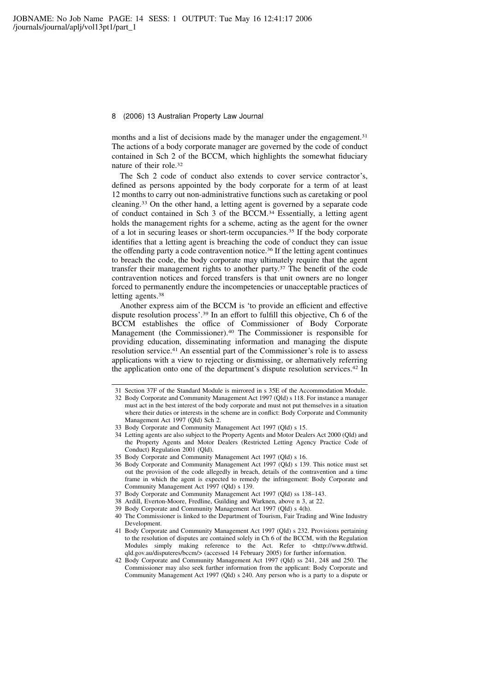months and a list of decisions made by the manager under the engagement.<sup>31</sup> The actions of a body corporate manager are governed by the code of conduct contained in Sch 2 of the BCCM, which highlights the somewhat fiduciary nature of their role.<sup>32</sup>

The Sch 2 code of conduct also extends to cover service contractor's, defined as persons appointed by the body corporate for a term of at least 12 months to carry out non-administrative functions such as caretaking or pool cleaning.<sup>33</sup> On the other hand, a letting agent is governed by a separate code of conduct contained in Sch 3 of the BCCM.<sup>34</sup> Essentially, a letting agent holds the management rights for a scheme, acting as the agent for the owner of a lot in securing leases or short-term occupancies.<sup>35</sup> If the body corporate identifies that a letting agent is breaching the code of conduct they can issue the offending party a code contravention notice.<sup>36</sup> If the letting agent continues to breach the code, the body corporate may ultimately require that the agent transfer their management rights to another party.<sup>37</sup> The benefit of the code contravention notices and forced transfers is that unit owners are no longer forced to permanently endure the incompetencies or unacceptable practices of letting agents.<sup>38</sup>

Another express aim of the BCCM is 'to provide an efficient and effective dispute resolution process'.<sup>39</sup> In an effort to fulfill this objective, Ch 6 of the BCCM establishes the office of Commissioner of Body Corporate Management (the Commissioner).<sup>40</sup> The Commissioner is responsible for providing education, disseminating information and managing the dispute resolution service.<sup>41</sup> An essential part of the Commissioner's role is to assess applications with a view to rejecting or dismissing, or alternatively referring the application onto one of the department's dispute resolution services.<sup>42</sup> In

- 37 Body Corporate and Community Management Act 1997 (Qld) ss 138–143.
- 38 Ardill, Everton-Moore, Fredline, Guilding and Warknen, above n 3, at 22.
- 39 Body Corporate and Community Management Act 1997 (Qld) s 4(h).
- 40 The Commissioner is linked to the Department of Tourism, Fair Trading and Wine Industry Development.
- 41 Body Corporate and Community Management Act 1997 (Qld) s 232. Provisions pertaining to the resolution of disputes are contained solely in Ch 6 of the BCCM, with the Regulation Modules simply making reference to the Act. Refer to <http://www.dtftwid. qld.gov.au/disputeres/bccm/> (accessed 14 February 2005) for further information.
- 42 Body Corporate and Community Management Act 1997 (Qld) ss 241, 248 and 250. The Commissioner may also seek further information from the applicant: Body Corporate and Community Management Act 1997 (Qld) s 240. Any person who is a party to a dispute or

<sup>31</sup> Section 37F of the Standard Module is mirrored in s 35E of the Accommodation Module.

<sup>32</sup> Body Corporate and Community Management Act 1997 (Qld) s 118. For instance a manager must act in the best interest of the body corporate and must not put themselves in a situation where their duties or interests in the scheme are in conflict: Body Corporate and Community Management Act 1997 (Qld) Sch 2.

<sup>33</sup> Body Corporate and Community Management Act 1997 (Qld) s 15.

<sup>34</sup> Letting agents are also subject to the Property Agents and Motor Dealers Act 2000 (Qld) and the Property Agents and Motor Dealers (Restricted Letting Agency Practice Code of Conduct) Regulation 2001 (Qld).

<sup>35</sup> Body Corporate and Community Management Act 1997 (Qld) s 16.

<sup>36</sup> Body Corporate and Community Management Act 1997 (Qld) s 139. This notice must set out the provision of the code allegedly in breach, details of the contravention and a time frame in which the agent is expected to remedy the infringement: Body Corporate and Community Management Act 1997 (Qld) s 139.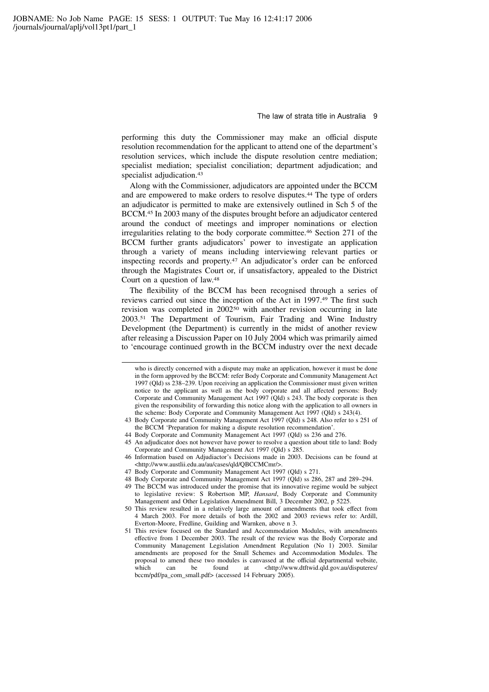performing this duty the Commissioner may make an official dispute resolution recommendation for the applicant to attend one of the department's resolution services, which include the dispute resolution centre mediation; specialist mediation; specialist conciliation; department adjudication; and specialist adjudication.<sup>43</sup>

Along with the Commissioner, adjudicators are appointed under the BCCM and are empowered to make orders to resolve disputes.<sup>44</sup> The type of orders an adjudicator is permitted to make are extensively outlined in Sch 5 of the BCCM.<sup>45</sup> In 2003 many of the disputes brought before an adjudicator centered around the conduct of meetings and improper nominations or election irregularities relating to the body corporate committee.<sup>46</sup> Section 271 of the BCCM further grants adjudicators' power to investigate an application through a variety of means including interviewing relevant parties or inspecting records and property.<sup>47</sup> An adjudicator's order can be enforced through the Magistrates Court or, if unsatisfactory, appealed to the District Court on a question of law.<sup>48</sup>

The flexibility of the BCCM has been recognised through a series of reviews carried out since the inception of the Act in 1997.<sup>49</sup> The first such revision was completed in 2002<sup>50</sup> with another revision occurring in late 2003.<sup>51</sup> The Department of Tourism, Fair Trading and Wine Industry Development (the Department) is currently in the midst of another review after releasing a Discussion Paper on 10 July 2004 which was primarily aimed to 'encourage continued growth in the BCCM industry over the next decade

- 45 An adjudicator does not however have power to resolve a question about title to land: Body Corporate and Community Management Act 1997 (Qld) s 285.
- 46 Information based on Adjudiactor's Decisions made in 2003. Decisions can be found at <http://www.austlii.edu.au/au/cases/qld/QBCCMCmr/>.
- 47 Body Corporate and Community Management Act 1997 (Qld) s 271.
- 48 Body Corporate and Community Management Act 1997 (Qld) ss 286, 287 and 289–294.
- 49 The BCCM was introduced under the promise that its innovative regime would be subject to legislative review: S Robertson MP, Hansard, Body Corporate and Community Management and Other Legislation Amendment Bill, 3 December 2002, p 5225.
- 50 This review resulted in a relatively large amount of amendments that took effect from 4 March 2003. For more details of both the 2002 and 2003 reviews refer to: Ardill, Everton-Moore, Fredline, Guilding and Warnken, above n 3.
- 51 This review focused on the Standard and Accommodation Modules, with amendments effective from 1 December 2003. The result of the review was the Body Corporate and Community Management Legislation Amendment Regulation (No 1) 2003. Similar amendments are proposed for the Small Schemes and Accommodation Modules. The proposal to amend these two modules is canvassed at the official departmental website, which can be found at  $\langle \text{http://www.dtftwid.qld.gov.au/disputeres/} \rangle$ which can be found at <http://www.dtftwid.qld.gov.au/disputeres/ bccm/pdf/pa\_com\_small.pdf> (accessed 14 February 2005).

who is directly concerned with a dispute may make an application, however it must be done in the form approved by the BCCM: refer Body Corporate and Community Management Act 1997 (Qld) ss 238–239. Upon receiving an application the Commissioner must given written notice to the applicant as well as the body corporate and all affected persons: Body Corporate and Community Management Act 1997 (Qld) s 243. The body corporate is then given the responsibility of forwarding this notice along with the application to all owners in the scheme: Body Corporate and Community Management Act 1997 (Qld) s 243(4).

<sup>43</sup> Body Corporate and Community Management Act 1997 (Qld) s 248. Also refer to s 251 of the BCCM 'Preparation for making a dispute resolution recommendation'.

<sup>44</sup> Body Corporate and Community Management Act 1997 (Qld) ss 236 and 276.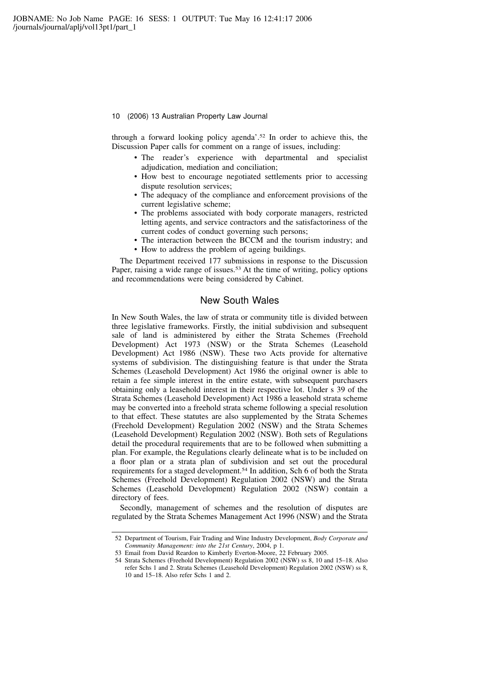through a forward looking policy agenda'.<sup>52</sup> In order to achieve this, the Discussion Paper calls for comment on a range of issues, including:

- The reader's experience with departmental and specialist adjudication, mediation and conciliation;
- How best to encourage negotiated settlements prior to accessing dispute resolution services;
- The adequacy of the compliance and enforcement provisions of the current legislative scheme;
- The problems associated with body corporate managers, restricted letting agents, and service contractors and the satisfactoriness of the current codes of conduct governing such persons;
- The interaction between the BCCM and the tourism industry; and
- How to address the problem of ageing buildings.

The Department received 177 submissions in response to the Discussion Paper, raising a wide range of issues.<sup>53</sup> At the time of writing, policy options and recommendations were being considered by Cabinet.

### New South Wales

In New South Wales, the law of strata or community title is divided between three legislative frameworks. Firstly, the initial subdivision and subsequent sale of land is administered by either the Strata Schemes (Freehold Development) Act 1973 (NSW) or the Strata Schemes (Leasehold Development) Act 1986 (NSW). These two Acts provide for alternative systems of subdivision. The distinguishing feature is that under the Strata Schemes (Leasehold Development) Act 1986 the original owner is able to retain a fee simple interest in the entire estate, with subsequent purchasers obtaining only a leasehold interest in their respective lot. Under s 39 of the Strata Schemes (Leasehold Development) Act 1986 a leasehold strata scheme may be converted into a freehold strata scheme following a special resolution to that effect. These statutes are also supplemented by the Strata Schemes (Freehold Development) Regulation 2002 (NSW) and the Strata Schemes (Leasehold Development) Regulation 2002 (NSW). Both sets of Regulations detail the procedural requirements that are to be followed when submitting a plan. For example, the Regulations clearly delineate what is to be included on a floor plan or a strata plan of subdivision and set out the procedural requirements for a staged development.<sup>54</sup> In addition, Sch 6 of both the Strata Schemes (Freehold Development) Regulation 2002 (NSW) and the Strata Schemes (Leasehold Development) Regulation 2002 (NSW) contain a directory of fees.

Secondly, management of schemes and the resolution of disputes are regulated by the Strata Schemes Management Act 1996 (NSW) and the Strata

<sup>52</sup> Department of Tourism, Fair Trading and Wine Industry Development, Body Corporate and Community Management: into the 21st Century, 2004, p 1.

<sup>53</sup> Email from David Reardon to Kimberly Everton-Moore, 22 February 2005.

<sup>54</sup> Strata Schemes (Freehold Development) Regulation 2002 (NSW) ss 8, 10 and 15–18. Also refer Schs 1 and 2. Strata Schemes (Leasehold Development) Regulation 2002 (NSW) ss 8, 10 and 15–18. Also refer Schs 1 and 2.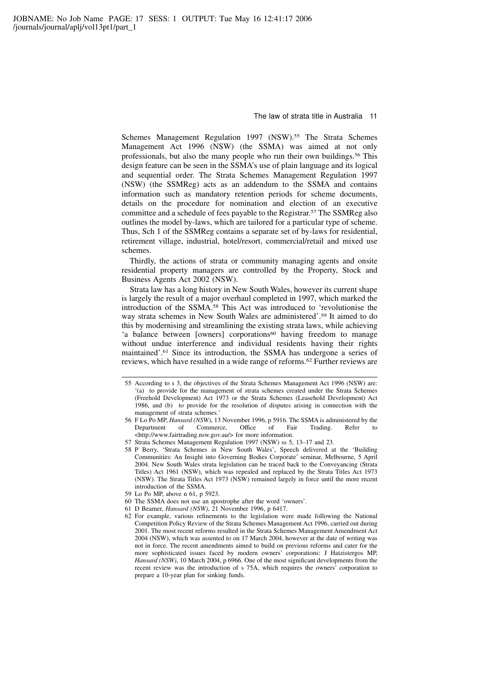Schemes Management Regulation 1997 (NSW).<sup>55</sup> The Strata Schemes Management Act 1996 (NSW) (the SSMA) was aimed at not only professionals, but also the many people who run their own buildings.<sup>56</sup> This design feature can be seen in the SSMA's use of plain language and its logical and sequential order. The Strata Schemes Management Regulation 1997 (NSW) (the SSMReg) acts as an addendum to the SSMA and contains information such as mandatory retention periods for scheme documents, details on the procedure for nomination and election of an executive committee and a schedule of fees payable to the Registrar.<sup>57</sup> The SSMReg also outlines the model by-laws, which are tailored for a particular type of scheme. Thus, Sch 1 of the SSMReg contains a separate set of by-laws for residential, retirement village, industrial, hotel/resort, commercial/retail and mixed use schemes.

Thirdly, the actions of strata or community managing agents and onsite residential property managers are controlled by the Property, Stock and Business Agents Act 2002 (NSW).

Strata law has a long history in New South Wales, however its current shape is largely the result of a major overhaul completed in 1997, which marked the introduction of the SSMA.<sup>58</sup> This Act was introduced to 'revolutionise the way strata schemes in New South Wales are administered'.<sup>59</sup> It aimed to do this by modernising and streamlining the existing strata laws, while achieving 'a balance between [owners] corporations<sup>60</sup> having freedom to manage without undue interference and individual residents having their rights maintained'.<sup>61</sup> Since its introduction, the SSMA has undergone a series of reviews, which have resulted in a wide range of reforms.<sup>62</sup> Further reviews are

62 For example, various refinements to the legislation were made following the National Competition Policy Review of the Strata Schemes Management Act 1996, carried out during 2001. The most recent reforms resulted in the Strata Schemes Management Amendment Act 2004 (NSW), which was assented to on 17 March 2004, however at the date of writing was not in force. The recent amendments aimed to build on previous reforms and cater for the more sophisticated issues faced by modern owners' corporations: J Hatzistergos MP, Hansard (NSW), 10 March 2004, p 6966. One of the most significant developments from the recent review was the introduction of s 75A, which requires the owners' corporation to prepare a 10-year plan for sinking funds.

<sup>55</sup> According to s 3, the objectives of the Strata Schemes Management Act 1996 (NSW) are: '(a) to provide for the management of strata schemes created under the Strata Schemes (Freehold Development) Act 1973 or the Strata Schemes (Leasehold Development) Act 1986, and (b) to provide for the resolution of disputes arising in connection with the management of strata schemes.'

<sup>56</sup> F Lo Po MP, *Hansard (NSW)*, 13 November 1996, p 5916. The SSMA is administered by the Department of Commerce, Office of Fair Trading. Refer to Commerce, Office of Fair Trading. Refer to <http://www.fairtrading.nsw.gov.au/> for more information.

<sup>57</sup> Strata Schemes Management Regulation 1997 (NSW) ss 5, 13–17 and 23.

<sup>58</sup> P Berry, 'Strata Schemes in New South Wales', Speech delivered at the 'Building Communities: An Insight into Governing Bodies Corporate' seminar, Melbourne, 5 April 2004. New South Wales strata legislation can be traced back to the Conveyancing (Strata Titles) Act 1961 (NSW), which was repealed and replaced by the Strata Titles Act 1973 (NSW). The Strata Titles Act 1973 (NSW) remained largely in force until the more recent introduction of the SSMA.

<sup>59</sup> Lo Po MP, above n 61, p 5923.

<sup>60</sup> The SSMA does not use an apostrophe after the word 'owners'.

<sup>61</sup> D Beamer, Hansard (NSW), 21 November 1996, p 6417.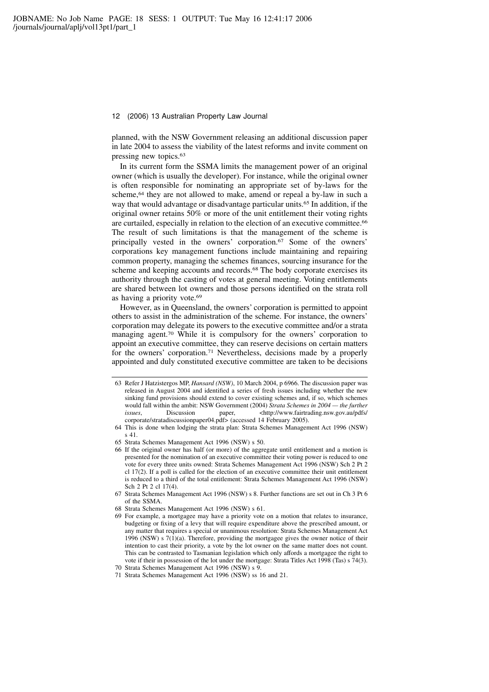planned, with the NSW Government releasing an additional discussion paper in late 2004 to assess the viability of the latest reforms and invite comment on pressing new topics.<sup>63</sup>

In its current form the SSMA limits the management power of an original owner (which is usually the developer). For instance, while the original owner is often responsible for nominating an appropriate set of by-laws for the scheme,<sup>64</sup> they are not allowed to make, amend or repeal a by-law in such a way that would advantage or disadvantage particular units.<sup>65</sup> In addition, if the original owner retains 50% or more of the unit entitlement their voting rights are curtailed, especially in relation to the election of an executive committee.<sup>66</sup> The result of such limitations is that the management of the scheme is principally vested in the owners' corporation.<sup>67</sup> Some of the owners' corporations key management functions include maintaining and repairing common property, managing the schemes finances, sourcing insurance for the scheme and keeping accounts and records.<sup>68</sup> The body corporate exercises its authority through the casting of votes at general meeting. Voting entitlements are shared between lot owners and those persons identified on the strata roll as having a priority vote.<sup>69</sup>

However, as in Queensland, the owners' corporation is permitted to appoint others to assist in the administration of the scheme. For instance, the owners' corporation may delegate its powers to the executive committee and/or a strata managing agent.<sup>70</sup> While it is compulsory for the owners' corporation to appoint an executive committee, they can reserve decisions on certain matters for the owners' corporation.<sup>71</sup> Nevertheless, decisions made by a properly appointed and duly constituted executive committee are taken to be decisions

<sup>63</sup> Refer J Hatzistergos MP, Hansard (NSW), 10 March 2004, p 6966. The discussion paper was released in August 2004 and identified a series of fresh issues including whether the new sinking fund provisions should extend to cover existing schemes and, if so, which schemes would fall within the ambit: NSW Government (2004) Strata Schemes in 2004 — the further issues, Discussion paper,  $\langle \text{http://www.fairtrading.nsw.gov.au/pdfs/} \rangle$ corporate/stratadiscussionpaper04.pdf> (accessed 14 February 2005).

<sup>64</sup> This is done when lodging the strata plan: Strata Schemes Management Act 1996 (NSW) s 41.

<sup>65</sup> Strata Schemes Management Act 1996 (NSW) s 50.

<sup>66</sup> If the original owner has half (or more) of the aggregate until entitlement and a motion is presented for the nomination of an executive committee their voting power is reduced to one vote for every three units owned: Strata Schemes Management Act 1996 (NSW) Sch 2 Pt 2 cl 17(2). If a poll is called for the election of an executive committee their unit entitlement is reduced to a third of the total entitlement: Strata Schemes Management Act 1996 (NSW) Sch 2 Pt 2 cl 17(4).

<sup>67</sup> Strata Schemes Management Act 1996 (NSW) s 8. Further functions are set out in Ch 3 Pt 6 of the SSMA.

<sup>68</sup> Strata Schemes Management Act 1996 (NSW) s 61.

<sup>69</sup> For example, a mortgagee may have a priority vote on a motion that relates to insurance, budgeting or fixing of a levy that will require expenditure above the prescribed amount, or any matter that requires a special or unanimous resolution: Strata Schemes Management Act 1996 (NSW) s  $7(1)(a)$ . Therefore, providing the mortgagee gives the owner notice of their intention to cast their priority, a vote by the lot owner on the same matter does not count. This can be contrasted to Tasmanian legislation which only affords a mortgagee the right to vote if their in possession of the lot under the mortgage: Strata Titles Act 1998 (Tas) s 74(3).

<sup>70</sup> Strata Schemes Management Act 1996 (NSW) s 9.

<sup>71</sup> Strata Schemes Management Act 1996 (NSW) ss 16 and 21.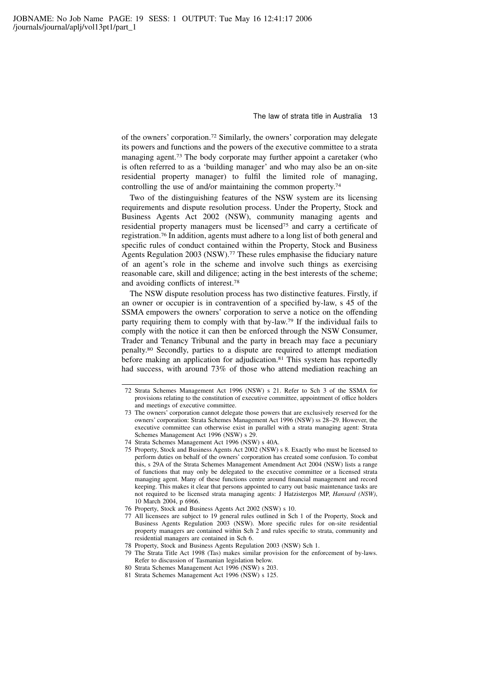of the owners' corporation.<sup>72</sup> Similarly, the owners' corporation may delegate its powers and functions and the powers of the executive committee to a strata managing agent.<sup>73</sup> The body corporate may further appoint a caretaker (who is often referred to as a 'building manager' and who may also be an on-site residential property manager) to fulfil the limited role of managing, controlling the use of and/or maintaining the common property.<sup>74</sup>

Two of the distinguishing features of the NSW system are its licensing requirements and dispute resolution process. Under the Property, Stock and Business Agents Act 2002 (NSW), community managing agents and residential property managers must be licensed<sup>75</sup> and carry a certificate of registration.<sup>76</sup> In addition, agents must adhere to a long list of both general and specific rules of conduct contained within the Property, Stock and Business Agents Regulation 2003 (NSW).<sup>77</sup> These rules emphasise the fiduciary nature of an agent's role in the scheme and involve such things as exercising reasonable care, skill and diligence; acting in the best interests of the scheme; and avoiding conflicts of interest.<sup>78</sup>

The NSW dispute resolution process has two distinctive features. Firstly, if an owner or occupier is in contravention of a specified by-law, s 45 of the SSMA empowers the owners' corporation to serve a notice on the offending party requiring them to comply with that by-law.<sup>79</sup> If the individual fails to comply with the notice it can then be enforced through the NSW Consumer, Trader and Tenancy Tribunal and the party in breach may face a pecuniary penalty.<sup>80</sup> Secondly, parties to a dispute are required to attempt mediation before making an application for adjudication.<sup>81</sup> This system has reportedly had success, with around 73% of those who attend mediation reaching an

<sup>72</sup> Strata Schemes Management Act 1996 (NSW) s 21. Refer to Sch 3 of the SSMA for provisions relating to the constitution of executive committee, appointment of office holders and meetings of executive committee.

<sup>73</sup> The owners' corporation cannot delegate those powers that are exclusively reserved for the owners' corporation: Strata Schemes Management Act 1996 (NSW) ss 28–29. However, the executive committee can otherwise exist in parallel with a strata managing agent: Strata Schemes Management Act 1996 (NSW) s 29.

<sup>74</sup> Strata Schemes Management Act 1996 (NSW) s 40A.

<sup>75</sup> Property, Stock and Business Agents Act 2002 (NSW) s 8. Exactly who must be licensed to perform duties on behalf of the owners' corporation has created some confusion. To combat this, s 29A of the Strata Schemes Management Amendment Act 2004 (NSW) lists a range of functions that may only be delegated to the executive committee or a licensed strata managing agent. Many of these functions centre around financial management and record keeping. This makes it clear that persons appointed to carry out basic maintenance tasks are not required to be licensed strata managing agents: J Hatzistergos MP, Hansard (NSW), 10 March 2004, p 6966.

<sup>76</sup> Property, Stock and Business Agents Act 2002 (NSW) s 10.

<sup>77</sup> All licensees are subject to 19 general rules outlined in Sch 1 of the Property, Stock and Business Agents Regulation 2003 (NSW). More specific rules for on-site residential property managers are contained within Sch 2 and rules specific to strata, community and residential managers are contained in Sch 6.

<sup>78</sup> Property, Stock and Business Agents Regulation 2003 (NSW) Sch 1.

<sup>79</sup> The Strata Title Act 1998 (Tas) makes similar provision for the enforcement of by-laws. Refer to discussion of Tasmanian legislation below.

<sup>80</sup> Strata Schemes Management Act 1996 (NSW) s 203.

<sup>81</sup> Strata Schemes Management Act 1996 (NSW) s 125.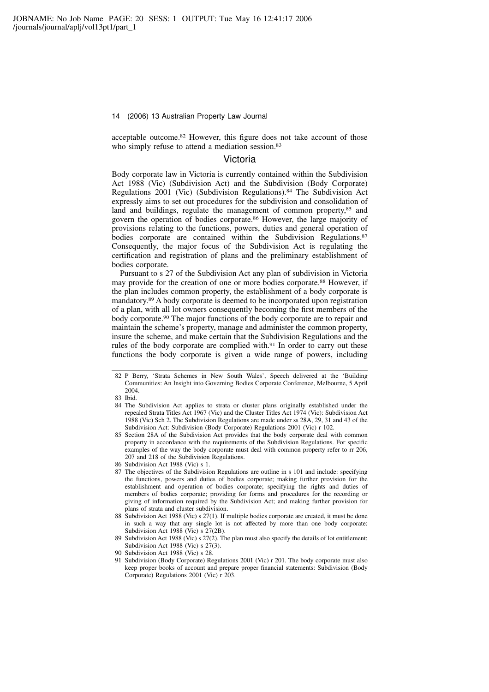acceptable outcome.<sup>82</sup> However, this figure does not take account of those who simply refuse to attend a mediation session.<sup>83</sup>

### Victoria

Body corporate law in Victoria is currently contained within the Subdivision Act 1988 (Vic) (Subdivision Act) and the Subdivision (Body Corporate) Regulations 2001 (Vic) (Subdivision Regulations).<sup>84</sup> The Subdivision Act expressly aims to set out procedures for the subdivision and consolidation of land and buildings, regulate the management of common property,<sup>85</sup> and govern the operation of bodies corporate.<sup>86</sup> However, the large majority of provisions relating to the functions, powers, duties and general operation of bodies corporate are contained within the Subdivision Regulations.<sup>87</sup> Consequently, the major focus of the Subdivision Act is regulating the certification and registration of plans and the preliminary establishment of bodies corporate.

Pursuant to s 27 of the Subdivision Act any plan of subdivision in Victoria may provide for the creation of one or more bodies corporate.<sup>88</sup> However, if the plan includes common property, the establishment of a body corporate is mandatory.<sup>89</sup> A body corporate is deemed to be incorporated upon registration of a plan, with all lot owners consequently becoming the first members of the body corporate.<sup>90</sup> The major functions of the body corporate are to repair and maintain the scheme's property, manage and administer the common property, insure the scheme, and make certain that the Subdivision Regulations and the rules of the body corporate are complied with.<sup>91</sup> In order to carry out these functions the body corporate is given a wide range of powers, including

89 Subdivision Act 1988 (Vic) s 27(2). The plan must also specify the details of lot entitlement: Subdivision Act 1988 (Vic) s 27(3).

91 Subdivision (Body Corporate) Regulations 2001 (Vic) r 201. The body corporate must also keep proper books of account and prepare proper financial statements: Subdivision (Body Corporate) Regulations 2001 (Vic) r 203.

<sup>82</sup> P Berry, 'Strata Schemes in New South Wales', Speech delivered at the 'Building Communities: An Insight into Governing Bodies Corporate Conference, Melbourne, 5 April 2004.

<sup>83</sup> Ibid.

<sup>84</sup> The Subdivision Act applies to strata or cluster plans originally established under the repealed Strata Titles Act 1967 (Vic) and the Cluster Titles Act 1974 (Vic): Subdivision Act 1988 (Vic) Sch 2. The Subdivision Regulations are made under ss 28A, 29, 31 and 43 of the Subdivision Act: Subdivision (Body Corporate) Regulations 2001 (Vic) r 102.

<sup>85</sup> Section 28A of the Subdivision Act provides that the body corporate deal with common property in accordance with the requirements of the Subdivision Regulations. For specific examples of the way the body corporate must deal with common property refer to rr 206, 207 and 218 of the Subdivision Regulations.

Subdivision Act 1988 (Vic) s 1.

<sup>87</sup> The objectives of the Subdivision Regulations are outline in s 101 and include: specifying the functions, powers and duties of bodies corporate; making further provision for the establishment and operation of bodies corporate; specifying the rights and duties of members of bodies corporate; providing for forms and procedures for the recording or giving of information required by the Subdivision Act; and making further provision for plans of strata and cluster subdivision.

<sup>88</sup> Subdivision Act 1988 (Vic) s 27(1). If multiple bodies corporate are created, it must be done in such a way that any single lot is not affected by more than one body corporate: Subdivision Act 1988 (Vic) s 27(2B).

<sup>90</sup> Subdivision Act 1988 (Vic) s 28.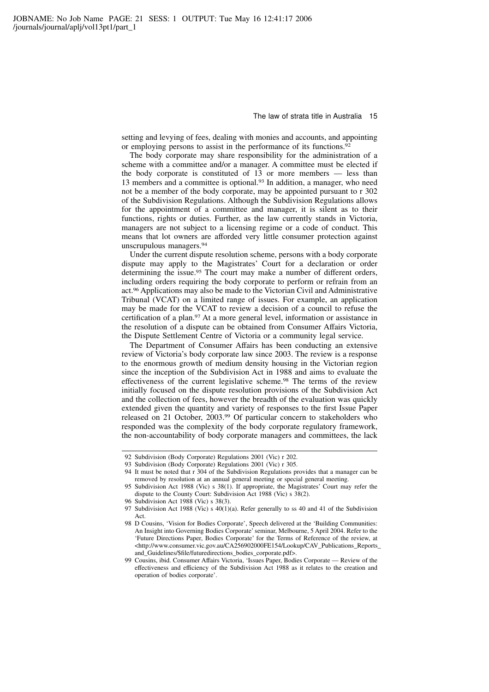setting and levying of fees, dealing with monies and accounts, and appointing or employing persons to assist in the performance of its functions.<sup>92</sup>

The body corporate may share responsibility for the administration of a scheme with a committee and/or a manager. A committee must be elected if the body corporate is constituted of 13 or more members — less than 13 members and a committee is optional.<sup>93</sup> In addition, a manager, who need not be a member of the body corporate, may be appointed pursuant to r 302 of the Subdivision Regulations. Although the Subdivision Regulations allows for the appointment of a committee and manager, it is silent as to their functions, rights or duties. Further, as the law currently stands in Victoria, managers are not subject to a licensing regime or a code of conduct. This means that lot owners are afforded very little consumer protection against unscrupulous managers.<sup>94</sup>

Under the current dispute resolution scheme, persons with a body corporate dispute may apply to the Magistrates' Court for a declaration or order determining the issue.<sup>95</sup> The court may make a number of different orders, including orders requiring the body corporate to perform or refrain from an act.<sup>96</sup> Applications may also be made to the Victorian Civil and Administrative Tribunal (VCAT) on a limited range of issues. For example, an application may be made for the VCAT to review a decision of a council to refuse the certification of a plan.<sup>97</sup> At a more general level, information or assistance in the resolution of a dispute can be obtained from Consumer Affairs Victoria, the Dispute Settlement Centre of Victoria or a community legal service.

The Department of Consumer Affairs has been conducting an extensive review of Victoria's body corporate law since 2003. The review is a response to the enormous growth of medium density housing in the Victorian region since the inception of the Subdivision Act in 1988 and aims to evaluate the effectiveness of the current legislative scheme.<sup>98</sup> The terms of the review initially focused on the dispute resolution provisions of the Subdivision Act and the collection of fees, however the breadth of the evaluation was quickly extended given the quantity and variety of responses to the first Issue Paper released on 21 October, 2003.<sup>99</sup> Of particular concern to stakeholders who responded was the complexity of the body corporate regulatory framework, the non-accountability of body corporate managers and committees, the lack

<sup>92</sup> Subdivision (Body Corporate) Regulations 2001 (Vic) r 202.

<sup>93</sup> Subdivision (Body Corporate) Regulations 2001 (Vic) r 305.

<sup>94</sup> It must be noted that r 304 of the Subdivision Regulations provides that a manager can be removed by resolution at an annual general meeting or special general meeting.

<sup>95</sup> Subdivision Act 1988 (Vic) s 38(1). If appropriate, the Magistrates' Court may refer the dispute to the County Court: Subdivision Act 1988 (Vic) s 38(2).

<sup>96</sup> Subdivision Act 1988 (Vic) s 38(3).

<sup>97</sup> Subdivision Act 1988 (Vic) s 40(1)(a). Refer generally to ss 40 and 41 of the Subdivision Act.

<sup>98</sup> D Cousins, 'Vision for Bodies Corporate', Speech delivered at the 'Building Communities: An Insight into Governing Bodies Corporate' seminar, Melbourne, 5 April 2004. Refer to the 'Future Directions Paper, Bodies Corporate' for the Terms of Reference of the review, at <http://www.consumer.vic.gov.au/CA256902000FE154/Lookup/CAV\_Publications\_Reports\_ and\_Guidelines/\$file/futuredirections\_bodies\_corporate.pdf>.

<sup>99</sup> Cousins, ibid. Consumer Affairs Victoria, 'Issues Paper, Bodies Corporate — Review of the effectiveness and efficiency of the Subdivision Act 1988 as it relates to the creation and operation of bodies corporate'.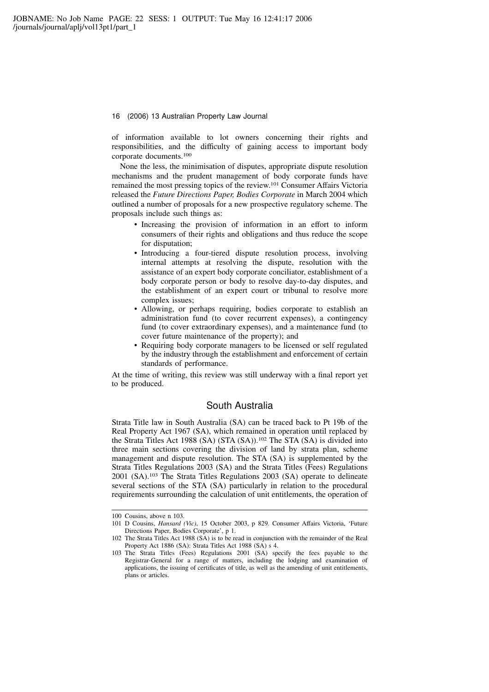of information available to lot owners concerning their rights and responsibilities, and the difficulty of gaining access to important body corporate documents.<sup>100</sup>

None the less, the minimisation of disputes, appropriate dispute resolution mechanisms and the prudent management of body corporate funds have remained the most pressing topics of the review.<sup>101</sup> Consumer Affairs Victoria released the Future Directions Paper, Bodies Corporate in March 2004 which outlined a number of proposals for a new prospective regulatory scheme. The proposals include such things as:

- Increasing the provision of information in an effort to inform consumers of their rights and obligations and thus reduce the scope for disputation;
- Introducing a four-tiered dispute resolution process, involving internal attempts at resolving the dispute, resolution with the assistance of an expert body corporate conciliator, establishment of a body corporate person or body to resolve day-to-day disputes, and the establishment of an expert court or tribunal to resolve more complex issues;
- Allowing, or perhaps requiring, bodies corporate to establish an administration fund (to cover recurrent expenses), a contingency fund (to cover extraordinary expenses), and a maintenance fund (to cover future maintenance of the property); and
- Requiring body corporate managers to be licensed or self regulated by the industry through the establishment and enforcement of certain standards of performance.

At the time of writing, this review was still underway with a final report yet to be produced.

### South Australia

Strata Title law in South Australia (SA) can be traced back to Pt 19b of the Real Property Act 1967 (SA), which remained in operation until replaced by the Strata Titles Act 1988 (SA) (STA (SA)).<sup>102</sup> The STA (SA) is divided into three main sections covering the division of land by strata plan, scheme management and dispute resolution. The STA (SA) is supplemented by the Strata Titles Regulations 2003 (SA) and the Strata Titles (Fees) Regulations 2001 (SA).<sup>103</sup> The Strata Titles Regulations 2003 (SA) operate to delineate several sections of the STA (SA) particularly in relation to the procedural requirements surrounding the calculation of unit entitlements, the operation of

<sup>100</sup> Cousins, above n 103.

<sup>101</sup> D Cousins, Hansard (Vic), 15 October 2003, p 829. Consumer Affairs Victoria, 'Future Directions Paper, Bodies Corporate', p 1.

<sup>102</sup> The Strata Titles Act 1988 (SA) is to be read in conjunction with the remainder of the Real Property Act 1886 (SA): Strata Titles Act 1988 (SA) s 4.

<sup>103</sup> The Strata Titles (Fees) Regulations 2001 (SA) specify the fees payable to the Registrar-General for a range of matters, including the lodging and examination of applications, the issuing of certificates of title, as well as the amending of unit entitlements, plans or articles.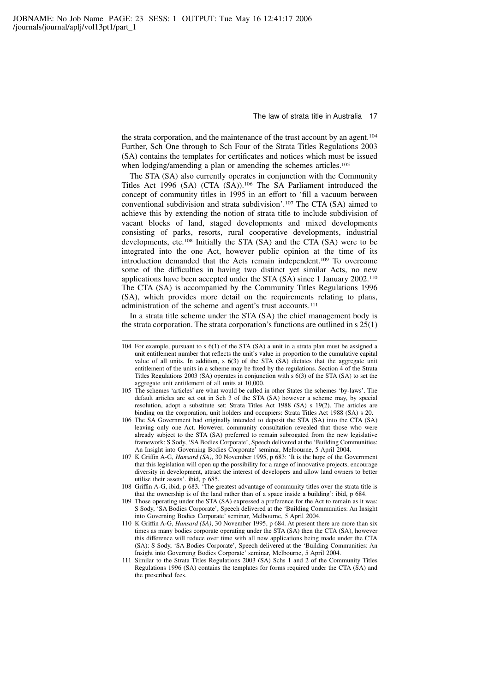the strata corporation, and the maintenance of the trust account by an agent.<sup>104</sup> Further, Sch One through to Sch Four of the Strata Titles Regulations 2003 (SA) contains the templates for certificates and notices which must be issued when lodging/amending a plan or amending the schemes articles.<sup>105</sup>

The STA (SA) also currently operates in conjunction with the Community Titles Act 1996 (SA) (CTA (SA)).<sup>106</sup> The SA Parliament introduced the concept of community titles in 1995 in an effort to 'fill a vacuum between conventional subdivision and strata subdivision'.<sup>107</sup> The CTA (SA) aimed to achieve this by extending the notion of strata title to include subdivision of vacant blocks of land, staged developments and mixed developments consisting of parks, resorts, rural cooperative developments, industrial developments, etc.<sup>108</sup> Initially the STA (SA) and the CTA (SA) were to be integrated into the one Act, however public opinion at the time of its introduction demanded that the Acts remain independent.<sup>109</sup> To overcome some of the difficulties in having two distinct yet similar Acts, no new applications have been accepted under the STA (SA) since 1 January 2002.<sup>110</sup> The CTA (SA) is accompanied by the Community Titles Regulations 1996 (SA), which provides more detail on the requirements relating to plans, administration of the scheme and agent's trust accounts.<sup>111</sup>

In a strata title scheme under the STA (SA) the chief management body is the strata corporation. The strata corporation's functions are outlined in s 25(1)

- 107 K Griffin A-G, Hansard (SA), 30 November 1995, p 683: 'It is the hope of the Government that this legislation will open up the possibility for a range of innovative projects, encourage diversity in development, attract the interest of developers and allow land owners to better utilise their assets'. ibid, p 685.
- 108 Griffin A-G, ibid, p 683. 'The greatest advantage of community titles over the strata title is that the ownership is of the land rather than of a space inside a building': ibid, p 684.

- 110 K Griffin A-G, Hansard (SA), 30 November 1995, p 684. At present there are more than six times as many bodies corporate operating under the STA (SA) then the CTA (SA), however this difference will reduce over time with all new applications being made under the CTA (SA): S Sody, 'SA Bodies Corporate', Speech delivered at the 'Building Communities: An Insight into Governing Bodies Corporate' seminar, Melbourne, 5 April 2004.
- 111 Similar to the Strata Titles Regulations 2003 (SA) Schs 1 and 2 of the Community Titles Regulations 1996 (SA) contains the templates for forms required under the CTA (SA) and the prescribed fees.

<sup>104</sup> For example, pursuant to s 6(1) of the STA (SA) a unit in a strata plan must be assigned a unit entitlement number that reflects the unit's value in proportion to the cumulative capital value of all units. In addition, s 6(3) of the STA (SA) dictates that the aggregate unit entitlement of the units in a scheme may be fixed by the regulations. Section 4 of the Strata Titles Regulations 2003 (SA) operates in conjunction with s 6(3) of the STA (SA) to set the aggregate unit entitlement of all units at 10,000.

<sup>105</sup> The schemes 'articles' are what would be called in other States the schemes 'by-laws'. The default articles are set out in Sch 3 of the STA (SA) however a scheme may, by special resolution, adopt a substitute set: Strata Titles Act 1988 (SA) s 19(2). The articles are binding on the corporation, unit holders and occupiers: Strata Titles Act 1988 (SA) s 20.

<sup>106</sup> The SA Government had originally intended to deposit the STA (SA) into the CTA (SA) leaving only one Act. However, community consultation revealed that those who were already subject to the STA (SA) preferred to remain subrogated from the new legislative framework: S Sody, 'SA Bodies Corporate', Speech delivered at the 'Building Communities: An Insight into Governing Bodies Corporate' seminar, Melbourne, 5 April 2004.

<sup>109</sup> Those operating under the STA (SA) expressed a preference for the Act to remain as it was: S Sody, 'SA Bodies Corporate', Speech delivered at the 'Building Communities: An Insight into Governing Bodies Corporate' seminar, Melbourne, 5 April 2004.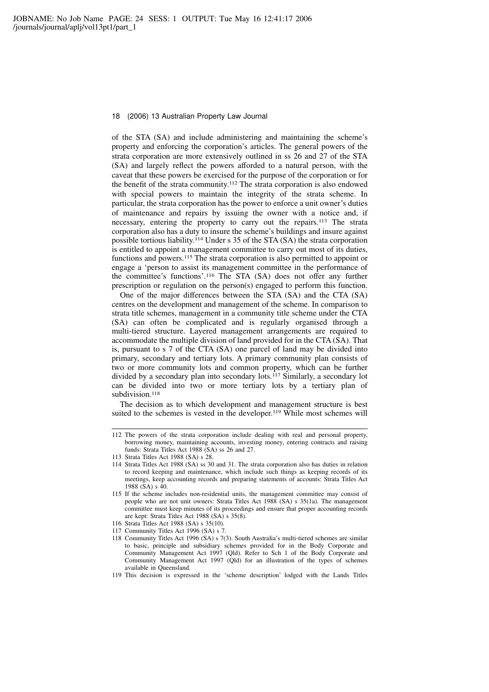of the STA (SA) and include administering and maintaining the scheme's property and enforcing the corporation's articles. The general powers of the strata corporation are more extensively outlined in ss 26 and 27 of the STA (SA) and largely reflect the powers afforded to a natural person, with the caveat that these powers be exercised for the purpose of the corporation or for the benefit of the strata community.<sup>112</sup> The strata corporation is also endowed with special powers to maintain the integrity of the strata scheme. In particular, the strata corporation has the power to enforce a unit owner's duties of maintenance and repairs by issuing the owner with a notice and, if necessary, entering the property to carry out the repairs.<sup>113</sup> The strata corporation also has a duty to insure the scheme's buildings and insure against possible tortious liability.<sup>114</sup> Under s 35 of the STA (SA) the strata corporation is entitled to appoint a management committee to carry out most of its duties, functions and powers.<sup>115</sup> The strata corporation is also permitted to appoint or engage a 'person to assist its management committee in the performance of the committee's functions'.<sup>116</sup> The STA (SA) does not offer any further prescription or regulation on the person(s) engaged to perform this function.

One of the major differences between the STA (SA) and the CTA (SA) centres on the development and management of the scheme. In comparison to strata title schemes, management in a community title scheme under the CTA (SA) can often be complicated and is regularly organised through a multi-tiered structure. Layered management arrangements are required to accommodate the multiple division of land provided for in the CTA (SA). That is, pursuant to s 7 of the CTA (SA) one parcel of land may be divided into primary, secondary and tertiary lots. A primary community plan consists of two or more community lots and common property, which can be further divided by a secondary plan into secondary lots.<sup>117</sup> Similarly, a secondary lot can be divided into two or more tertiary lots by a tertiary plan of subdivision.<sup>118</sup>

The decision as to which development and management structure is best suited to the schemes is vested in the developer.<sup>119</sup> While most schemes will

- 117 Community Titles Act 1996 (SA) s 7.
- 118 Community Titles Act 1996 (SA) s 7(3). South Australia's multi-tiered schemes are similar to basic, principle and subsidiary schemes provided for in the Body Corporate and Community Management Act 1997 (Qld). Refer to Sch 1 of the Body Corporate and Community Management Act 1997 (Qld) for an illustration of the types of schemes available in Queensland.

<sup>112</sup> The powers of the strata corporation include dealing with real and personal property, borrowing money, maintaining accounts, investing money, entering contracts and raising funds: Strata Titles Act 1988 (SA) ss 26 and 27.

<sup>113</sup> Strata Titles Act 1988 (SA) s 28.

<sup>114</sup> Strata Titles Act 1988 (SA) ss 30 and 31. The strata corporation also has duties in relation to record keeping and maintenance, which include such things as keeping records of its meetings, keep accounting records and preparing statements of accounts: Strata Titles Act 1988 (SA) s 40.

<sup>115</sup> If the scheme includes non-residential units, the management committee may consist of people who are not unit owners: Strata Titles Act 1988 (SA) s 35(1a). The management committee must keep minutes of its proceedings and ensure that proper accounting records are kept: Strata Titles Act 1988 (SA) s 35(8).

<sup>116</sup> Strata Titles Act 1988 (SA) s 35(10).

<sup>119</sup> This decision is expressed in the 'scheme description' lodged with the Lands Titles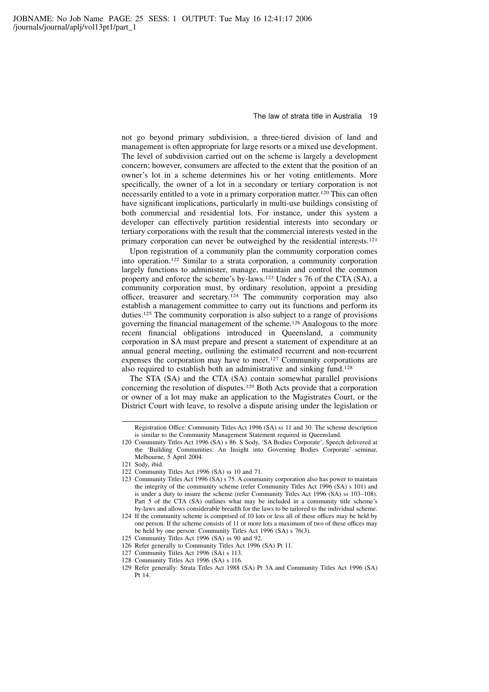not go beyond primary subdivision, a three-tiered division of land and management is often appropriate for large resorts or a mixed use development. The level of subdivision carried out on the scheme is largely a development concern; however, consumers are affected to the extent that the position of an owner's lot in a scheme determines his or her voting entitlements. More specifically, the owner of a lot in a secondary or tertiary corporation is not necessarily entitled to a vote in a primary corporation matter.<sup>120</sup> This can often have significant implications, particularly in multi-use buildings consisting of both commercial and residential lots. For instance, under this system a developer can effectively partition residential interests into secondary or tertiary corporations with the result that the commercial interests vested in the primary corporation can never be outweighed by the residential interests.<sup>121</sup>

Upon registration of a community plan the community corporation comes into operation.<sup>122</sup> Similar to a strata corporation, a community corporation largely functions to administer, manage, maintain and control the common property and enforce the scheme's by-laws.<sup>123</sup> Under s 76 of the CTA (SA), a community corporation must, by ordinary resolution, appoint a presiding officer, treasurer and secretary.<sup>124</sup> The community corporation may also establish a management committee to carry out its functions and perform its duties.<sup>125</sup> The community corporation is also subject to a range of provisions governing the financial management of the scheme.<sup>126</sup> Analogous to the more recent financial obligations introduced in Queensland, a community corporation in SA must prepare and present a statement of expenditure at an annual general meeting, outlining the estimated recurrent and non-recurrent expenses the corporation may have to meet.<sup>127</sup> Community corporations are also required to establish both an administrative and sinking fund.<sup>128</sup>

The STA (SA) and the CTA (SA) contain somewhat parallel provisions concerning the resolution of disputes.<sup>129</sup> Both Acts provide that a corporation or owner of a lot may make an application to the Magistrates Court, or the District Court with leave, to resolve a dispute arising under the legislation or

- 126 Refer generally to Community Titles Act 1996 (SA) Pt 11.
- 127 Community Titles Act 1996 (SA) s 113.
- 128 Community Titles Act 1996 (SA) s 116.

Registration Office: Community Titles Act 1996 (SA) ss 11 and 30. The scheme description is similar to the Community Management Statement required in Queensland.

<sup>120</sup> Community Titles Act 1996 (SA) s 86. S Sody, 'SA Bodies Corporate', Speech delivered at the 'Building Communities: An Insight into Governing Bodies Corporate' seminar, Melbourne, 5 April 2004.

<sup>121</sup> Sody, ibid.

<sup>122</sup> Community Titles Act 1996 (SA) ss 10 and 71.

<sup>123</sup> Community Titles Act 1996 (SA) s 75. A community corporation also has power to maintain the integrity of the community scheme (refer Community Titles Act 1996 (SA) s 101) and is under a duty to insure the scheme (refer Community Titles Act 1996 (SA) ss 103–108). Part 5 of the CTA (SA) outlines what may be included in a community title scheme's by-laws and allows considerable breadth for the laws to be tailored to the individual scheme.

<sup>124</sup> If the community scheme is comprised of 10 lots or less all of these offices may be held by one person. If the scheme consists of 11 or more lots a maximum of two of these offices may be held by one person: Community Titles Act 1996 (SA) s 76(3).

<sup>125</sup> Community Titles Act 1996 (SA) ss 90 and 92.

<sup>129</sup> Refer generally: Strata Titles Act 1988 (SA) Pt 3A and Community Titles Act 1996 (SA) Pt 14.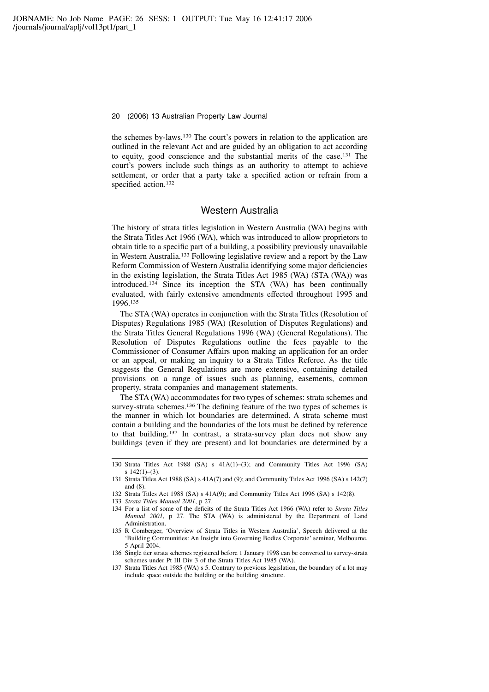the schemes by-laws.<sup>130</sup> The court's powers in relation to the application are outlined in the relevant Act and are guided by an obligation to act according to equity, good conscience and the substantial merits of the case.<sup>131</sup> The court's powers include such things as an authority to attempt to achieve settlement, or order that a party take a specified action or refrain from a specified action.<sup>132</sup>

### Western Australia

The history of strata titles legislation in Western Australia (WA) begins with the Strata Titles Act 1966 (WA), which was introduced to allow proprietors to obtain title to a specific part of a building, a possibility previously unavailable in Western Australia.<sup>133</sup> Following legislative review and a report by the Law Reform Commission of Western Australia identifying some major deficiencies in the existing legislation, the Strata Titles Act 1985 (WA) (STA (WA)) was introduced.<sup>134</sup> Since its inception the STA (WA) has been continually evaluated, with fairly extensive amendments effected throughout 1995 and 1996.<sup>135</sup>

The STA (WA) operates in conjunction with the Strata Titles (Resolution of Disputes) Regulations 1985 (WA) (Resolution of Disputes Regulations) and the Strata Titles General Regulations 1996 (WA) (General Regulations). The Resolution of Disputes Regulations outline the fees payable to the Commissioner of Consumer Affairs upon making an application for an order or an appeal, or making an inquiry to a Strata Titles Referee. As the title suggests the General Regulations are more extensive, containing detailed provisions on a range of issues such as planning, easements, common property, strata companies and management statements.

The STA (WA) accommodates for two types of schemes: strata schemes and survey-strata schemes.<sup>136</sup> The defining feature of the two types of schemes is the manner in which lot boundaries are determined. A strata scheme must contain a building and the boundaries of the lots must be defined by reference to that building.<sup>137</sup> In contrast, a strata-survey plan does not show any buildings (even if they are present) and lot boundaries are determined by a

<sup>130</sup> Strata Titles Act 1988 (SA) s 41A(1)–(3); and Community Titles Act 1996 (SA) s  $142(1)-(3)$ .

<sup>131</sup> Strata Titles Act 1988 (SA) s 41A(7) and (9); and Community Titles Act 1996 (SA) s 142(7) and (8).

<sup>132</sup> Strata Titles Act 1988 (SA) s 41A(9); and Community Titles Act 1996 (SA) s 142(8).

<sup>133</sup> Strata Titles Manual 2001, p 27.

<sup>134</sup> For a list of some of the deficits of the Strata Titles Act 1966 (WA) refer to Strata Titles Manual 2001, p 27. The STA (WA) is administered by the Department of Land Administration.

<sup>135</sup> R Comberger, 'Overview of Strata Titles in Western Australia', Speech delivered at the 'Building Communities: An Insight into Governing Bodies Corporate' seminar, Melbourne, 5 April 2004.

<sup>136</sup> Single tier strata schemes registered before 1 January 1998 can be converted to survey-strata schemes under Pt III Div 3 of the Strata Titles Act 1985 (WA).

<sup>137</sup> Strata Titles Act 1985 (WA) s 5. Contrary to previous legislation, the boundary of a lot may include space outside the building or the building structure.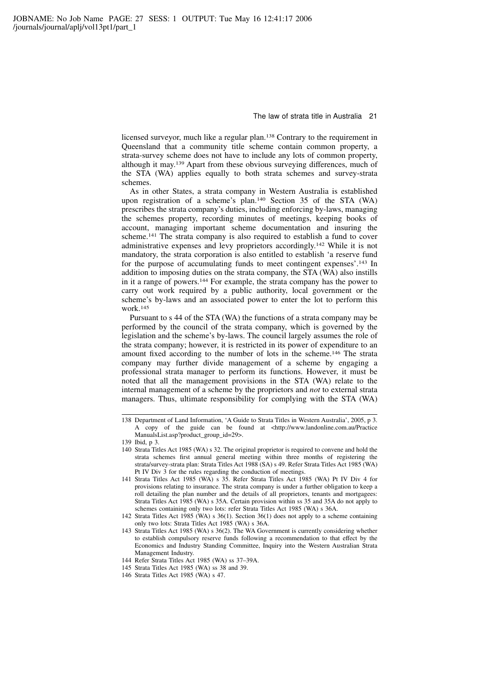licensed surveyor, much like a regular plan.<sup>138</sup> Contrary to the requirement in Queensland that a community title scheme contain common property, a strata-survey scheme does not have to include any lots of common property, although it may.<sup>139</sup> Apart from these obvious surveying differences, much of the STA (WA) applies equally to both strata schemes and survey-strata schemes.

As in other States, a strata company in Western Australia is established upon registration of a scheme's plan.<sup>140</sup> Section 35 of the STA (WA) prescribes the strata company's duties, including enforcing by-laws, managing the schemes property, recording minutes of meetings, keeping books of account, managing important scheme documentation and insuring the scheme.<sup>141</sup> The strata company is also required to establish a fund to cover administrative expenses and levy proprietors accordingly.<sup>142</sup> While it is not mandatory, the strata corporation is also entitled to establish 'a reserve fund for the purpose of accumulating funds to meet contingent expenses'.<sup>143</sup> In addition to imposing duties on the strata company, the STA (WA) also instills in it a range of powers.<sup>144</sup> For example, the strata company has the power to carry out work required by a public authority, local government or the scheme's by-laws and an associated power to enter the lot to perform this work.<sup>145</sup>

Pursuant to s 44 of the STA (WA) the functions of a strata company may be performed by the council of the strata company, which is governed by the legislation and the scheme's by-laws. The council largely assumes the role of the strata company; however, it is restricted in its power of expenditure to an amount fixed according to the number of lots in the scheme.<sup>146</sup> The strata company may further divide management of a scheme by engaging a professional strata manager to perform its functions. However, it must be noted that all the management provisions in the STA (WA) relate to the internal management of a scheme by the proprietors and not to external strata managers. Thus, ultimate responsibility for complying with the STA (WA)

<sup>138</sup> Department of Land Information, 'A Guide to Strata Titles in Western Australia', 2005, p 3. A copy of the guide can be found at <http://www.landonline.com.au/Practice ManualsList.asp?product\_group\_id=29>.

<sup>139</sup> Ibid, p 3.

<sup>140</sup> Strata Titles Act 1985 (WA) s 32. The original proprietor is required to convene and hold the strata schemes first annual general meeting within three months of registering the strata/survey-strata plan: Strata Titles Act 1988 (SA) s 49. Refer Strata Titles Act 1985 (WA) Pt IV Div 3 for the rules regarding the conduction of meetings.

<sup>141</sup> Strata Titles Act 1985 (WA) s 35. Refer Strata Titles Act 1985 (WA) Pt IV Div 4 for provisions relating to insurance. The strata company is under a further obligation to keep a roll detailing the plan number and the details of all proprietors, tenants and mortgagees: Strata Titles Act 1985 (WA) s 35A. Certain provision within ss 35 and 35A do not apply to schemes containing only two lots: refer Strata Titles Act 1985 (WA) s 36A.

<sup>142</sup> Strata Titles Act 1985 (WA) s 36(1). Section 36(1) does not apply to a scheme containing only two lots: Strata Titles Act 1985 (WA) s 36A.

<sup>143</sup> Strata Titles Act 1985 (WA) s 36(2). The WA Government is currently considering whether to establish compulsory reserve funds following a recommendation to that effect by the Economics and Industry Standing Committee, Inquiry into the Western Australian Strata Management Industry.

<sup>144</sup> Refer Strata Titles Act 1985 (WA) ss 37–39A.

<sup>145</sup> Strata Titles Act 1985 (WA) ss 38 and 39.

<sup>146</sup> Strata Titles Act 1985 (WA) s 47.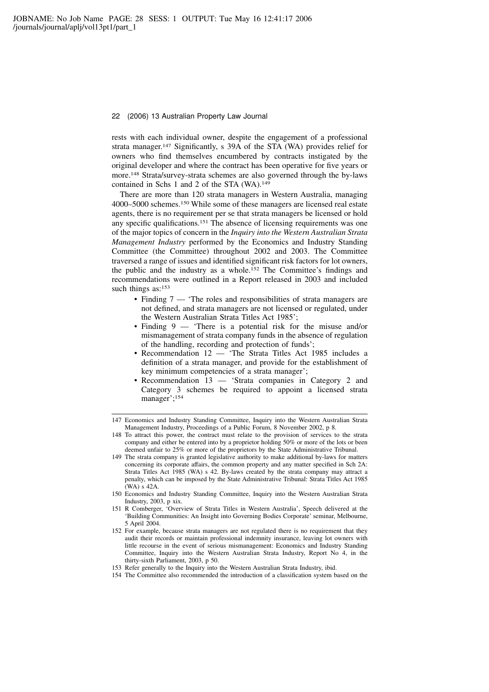rests with each individual owner, despite the engagement of a professional strata manager.<sup>147</sup> Significantly, s 39A of the STA (WA) provides relief for owners who find themselves encumbered by contracts instigated by the original developer and where the contract has been operative for five years or more.<sup>148</sup> Strata/survey-strata schemes are also governed through the by-laws contained in Schs 1 and 2 of the STA (WA).<sup>149</sup>

There are more than 120 strata managers in Western Australia, managing 4000–5000 schemes.<sup>150</sup> While some of these managers are licensed real estate agents, there is no requirement per se that strata managers be licensed or hold any specific qualifications.<sup>151</sup> The absence of licensing requirements was one of the major topics of concern in the Inquiry into the Western Australian Strata Management Industry performed by the Economics and Industry Standing Committee (the Committee) throughout 2002 and 2003. The Committee traversed a range of issues and identified significant risk factors for lot owners, the public and the industry as a whole.<sup>152</sup> The Committee's findings and recommendations were outlined in a Report released in 2003 and included such things as:<sup>153</sup>

- Finding 7 'The roles and responsibilities of strata managers are not defined, and strata managers are not licensed or regulated, under the Western Australian Strata Titles Act 1985';
- Finding 9 'There is a potential risk for the misuse and/or mismanagement of strata company funds in the absence of regulation of the handling, recording and protection of funds';
- Recommendation 12 'The Strata Titles Act 1985 includes a definition of a strata manager, and provide for the establishment of key minimum competencies of a strata manager';
- Recommendation 13 'Strata companies in Category 2 and Category 3 schemes be required to appoint a licensed strata manager';<sup>154</sup>

- 150 Economics and Industry Standing Committee, Inquiry into the Western Australian Strata Industry, 2003, p xix.
- 151 R Comberger, 'Overview of Strata Titles in Western Australia', Speech delivered at the 'Building Communities: An Insight into Governing Bodies Corporate' seminar, Melbourne, 5 April 2004.
- 152 For example, because strata managers are not regulated there is no requirement that they audit their records or maintain professional indemnity insurance, leaving lot owners with little recourse in the event of serious mismanagement: Economics and Industry Standing Committee, Inquiry into the Western Australian Strata Industry, Report No 4, in the thirty-sixth Parliament, 2003, p 50.
- 153 Refer generally to the Inquiry into the Western Australian Strata Industry, ibid.
- 154 The Committee also recommended the introduction of a classification system based on the

<sup>147</sup> Economics and Industry Standing Committee, Inquiry into the Western Australian Strata Management Industry, Proceedings of a Public Forum, 8 November 2002, p 8.

<sup>148</sup> To attract this power, the contract must relate to the provision of services to the strata company and either be entered into by a proprietor holding 50% or more of the lots or been deemed unfair to 25% or more of the proprietors by the State Administrative Tribunal.

<sup>149</sup> The strata company is granted legislative authority to make additional by-laws for matters concerning its corporate affairs, the common property and any matter specified in Sch 2A: Strata Titles Act 1985 (WA) s 42. By-laws created by the strata company may attract a penalty, which can be imposed by the State Administrative Tribunal: Strata Titles Act 1985 (WA) s 42A.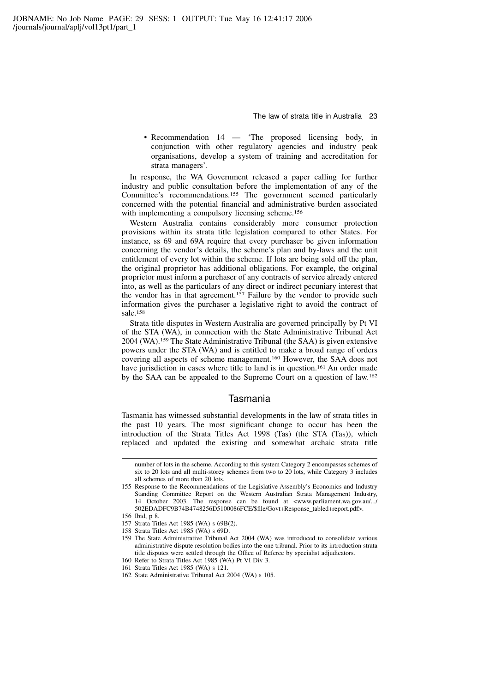• Recommendation 14 — 'The proposed licensing body, in conjunction with other regulatory agencies and industry peak organisations, develop a system of training and accreditation for strata managers'.

In response, the WA Government released a paper calling for further industry and public consultation before the implementation of any of the Committee's recommendations.<sup>155</sup> The government seemed particularly concerned with the potential financial and administrative burden associated with implementing a compulsory licensing scheme.<sup>156</sup>

Western Australia contains considerably more consumer protection provisions within its strata title legislation compared to other States. For instance, ss 69 and 69A require that every purchaser be given information concerning the vendor's details, the scheme's plan and by-laws and the unit entitlement of every lot within the scheme. If lots are being sold off the plan, the original proprietor has additional obligations. For example, the original proprietor must inform a purchaser of any contracts of service already entered into, as well as the particulars of any direct or indirect pecuniary interest that the vendor has in that agreement.<sup>157</sup> Failure by the vendor to provide such information gives the purchaser a legislative right to avoid the contract of sale.<sup>158</sup>

Strata title disputes in Western Australia are governed principally by Pt VI of the STA (WA), in connection with the State Administrative Tribunal Act 2004 (WA).<sup>159</sup> The State Administrative Tribunal (the SAA) is given extensive powers under the STA (WA) and is entitled to make a broad range of orders covering all aspects of scheme management.<sup>160</sup> However, the SAA does not have jurisdiction in cases where title to land is in question.<sup>161</sup> An order made by the SAA can be appealed to the Supreme Court on a question of law.<sup>162</sup>

### Tasmania

Tasmania has witnessed substantial developments in the law of strata titles in the past 10 years. The most significant change to occur has been the introduction of the Strata Titles Act 1998 (Tas) (the STA (Tas)), which replaced and updated the existing and somewhat archaic strata title

- 157 Strata Titles Act 1985 (WA) s 69B(2).
- 158 Strata Titles Act 1985 (WA) s 69D.
- 159 The State Administrative Tribunal Act 2004 (WA) was introduced to consolidate various administrative dispute resolution bodies into the one tribunal. Prior to its introduction strata title disputes were settled through the Office of Referee by specialist adjudicators.
- 160 Refer to Strata Titles Act 1985 (WA) Pt VI Div 3.
- 161 Strata Titles Act 1985 (WA) s 121.
- 162 State Administrative Tribunal Act 2004 (WA) s 105.

number of lots in the scheme. According to this system Category 2 encompasses schemes of six to 20 lots and all multi-storey schemes from two to 20 lots, while Category 3 includes all schemes of more than 20 lots.

<sup>155</sup> Response to the Recommendations of the Legislative Assembly's Economics and Industry Standing Committee Report on the Western Australian Strata Management Industry, 14 October 2003. The response can be found at <www.parliament.wa.gov.au/.../ 502EDADFC9B74B4748256D5100086FCE/\$file/Govt+Response\_tabled+report.pdf>.

<sup>156</sup> Ibid, p 8.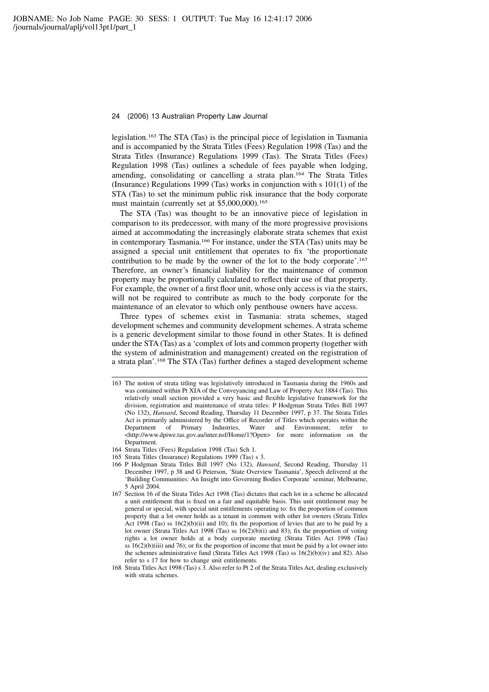legislation.<sup>163</sup> The STA (Tas) is the principal piece of legislation in Tasmania and is accompanied by the Strata Titles (Fees) Regulation 1998 (Tas) and the Strata Titles (Insurance) Regulations 1999 (Tas). The Strata Titles (Fees) Regulation 1998 (Tas) outlines a schedule of fees payable when lodging, amending, consolidating or cancelling a strata plan.<sup>164</sup> The Strata Titles (Insurance) Regulations 1999 (Tas) works in conjunction with s 101(1) of the STA (Tas) to set the minimum public risk insurance that the body corporate must maintain (currently set at \$5,000,000).<sup>165</sup>

The STA (Tas) was thought to be an innovative piece of legislation in comparison to its predecessor, with many of the more progressive provisions aimed at accommodating the increasingly elaborate strata schemes that exist in contemporary Tasmania.<sup>166</sup> For instance, under the STA (Tas) units may be assigned a special unit entitlement that operates to fix 'the proportionate contribution to be made by the owner of the lot to the body corporate'.<sup>167</sup> Therefore, an owner's financial liability for the maintenance of common property may be proportionally calculated to reflect their use of that property. For example, the owner of a first floor unit, whose only access is via the stairs, will not be required to contribute as much to the body corporate for the maintenance of an elevator to which only penthouse owners have access.

Three types of schemes exist in Tasmania: strata schemes, staged development schemes and community development schemes. A strata scheme is a generic development similar to those found in other States. It is defined under the STA (Tas) as a 'complex of lots and common property (together with the system of administration and management) created on the registration of a strata plan'.<sup>168</sup> The STA (Tas) further defines a staged development scheme

<sup>163</sup> The notion of strata titling was legislatively introduced in Tasmania during the 1960s and was contained within Pt XIA of the Conveyancing and Law of Property Act 1884 (Tas). This relatively small section provided a very basic and flexible legislative framework for the division, registration and maintenance of strata titles: P Hodgman Strata Titles Bill 1997 (No 132), Hansard, Second Reading, Thursday 11 December 1997, p 37. The Strata Titles Act is primarily administered by the Office of Recorder of Titles which operates within the Department of Primary Industries, Water and Environment, refer to <http://www.dpiwe.tas.gov.au/inter.nsf/Home/1?Open> for more information on the **Department** 

<sup>164</sup> Strata Titles (Fees) Regulation 1998 (Tas) Sch 1.

<sup>165</sup> Strata Titles (Insurance) Regulations 1999 (Tas) s 3.

<sup>166</sup> P Hodgman Strata Titles Bill 1997 (No 132), Hansard, Second Reading, Thursday 11 December 1997, p 38 and G Peterson, 'State Overview Tasmania', Speech delivered at the 'Building Communities: An Insight into Governing Bodies Corporate' seminar, Melbourne, 5 April 2004.

<sup>167</sup> Section 16 of the Strata Titles Act 1998 (Tas) dictates that each lot in a scheme be allocated a unit entitlement that is fixed on a fair and equitable basis. This unit entitlement may be general or special, with special unit entitlements operating to: fix the proportion of common property that a lot owner holds as a tenant in common with other lot owners (Strata Titles Act 1998 (Tas) ss 16(2)(b)(ii) and 10); fix the proportion of levies that are to be paid by a lot owner (Strata Titles Act 1998 (Tas) ss  $16(2)(b)(i)$  and 83); fix the proportion of voting rights a lot owner holds at a body corporate meeting (Strata Titles Act 1998 (Tas) ss  $16(2)(b)(iii)$  and 76); or fix the proportion of income that must be paid by a lot owner into the schemes administrative fund (Strata Titles Act 1998 (Tas) ss  $16(2)(b)(iv)$  and 82). Also refer to s 17 for how to change unit entitlements.

<sup>168</sup> Strata Titles Act 1998 (Tas) s 3. Also refer to Pt 2 of the Strata Titles Act, dealing exclusively with strata schemes.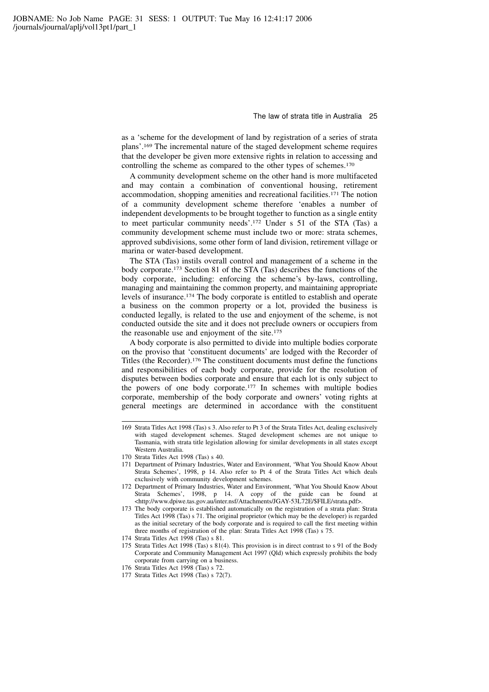as a 'scheme for the development of land by registration of a series of strata plans'.<sup>169</sup> The incremental nature of the staged development scheme requires that the developer be given more extensive rights in relation to accessing and controlling the scheme as compared to the other types of schemes.<sup>170</sup>

A community development scheme on the other hand is more multifaceted and may contain a combination of conventional housing, retirement accommodation, shopping amenities and recreational facilities.<sup>171</sup> The notion of a community development scheme therefore 'enables a number of independent developments to be brought together to function as a single entity to meet particular community needs'.<sup>172</sup> Under s 51 of the STA (Tas) a community development scheme must include two or more: strata schemes, approved subdivisions, some other form of land division, retirement village or marina or water-based development.

The STA (Tas) instils overall control and management of a scheme in the body corporate.<sup>173</sup> Section 81 of the STA (Tas) describes the functions of the body corporate, including: enforcing the scheme's by-laws, controlling, managing and maintaining the common property, and maintaining appropriate levels of insurance.<sup>174</sup> The body corporate is entitled to establish and operate a business on the common property or a lot, provided the business is conducted legally, is related to the use and enjoyment of the scheme, is not conducted outside the site and it does not preclude owners or occupiers from the reasonable use and enjoyment of the site.<sup>175</sup>

A body corporate is also permitted to divide into multiple bodies corporate on the proviso that 'constituent documents' are lodged with the Recorder of Titles (the Recorder).<sup>176</sup> The constituent documents must define the functions and responsibilities of each body corporate, provide for the resolution of disputes between bodies corporate and ensure that each lot is only subject to the powers of one body corporate.<sup>177</sup> In schemes with multiple bodies corporate, membership of the body corporate and owners' voting rights at general meetings are determined in accordance with the constituent

- 172 Department of Primary Industries, Water and Environment, 'What You Should Know About Strata Schemes', 1998, p 14. A copy of the guide can be found at <http://www.dpiwe.tas.gov.au/inter.nsf/Attachments/JGAY-53L72E/\$FILE/strata.pdf>.
- 173 The body corporate is established automatically on the registration of a strata plan: Strata Titles Act 1998 (Tas) s 71. The original proprietor (which may be the developer) is regarded as the initial secretary of the body corporate and is required to call the first meeting within three months of registration of the plan: Strata Titles Act 1998 (Tas) s 75.
- 174 Strata Titles Act 1998 (Tas) s 81.
- 175 Strata Titles Act 1998 (Tas) s 81(4). This provision is in direct contrast to s 91 of the Body Corporate and Community Management Act 1997 (Qld) which expressly prohibits the body corporate from carrying on a business.
- 176 Strata Titles Act 1998 (Tas) s 72.
- 177 Strata Titles Act 1998 (Tas) s 72(7).

<sup>169</sup> Strata Titles Act 1998 (Tas) s 3. Also refer to Pt 3 of the Strata Titles Act, dealing exclusively with staged development schemes. Staged development schemes are not unique to Tasmania, with strata title legislation allowing for similar developments in all states except Western Australia.

<sup>170</sup> Strata Titles Act 1998 (Tas) s 40.

<sup>171</sup> Department of Primary Industries, Water and Environment, 'What You Should Know About Strata Schemes', 1998, p 14. Also refer to Pt 4 of the Strata Titles Act which deals exclusively with community development schemes.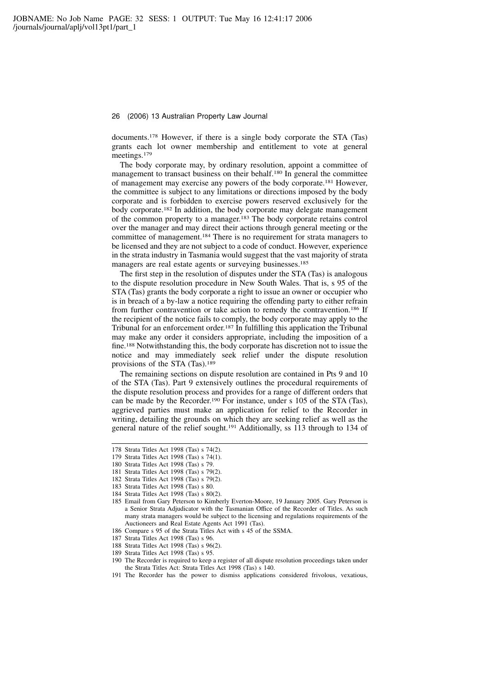documents.<sup>178</sup> However, if there is a single body corporate the STA (Tas) grants each lot owner membership and entitlement to vote at general meetings.<sup>179</sup>

The body corporate may, by ordinary resolution, appoint a committee of management to transact business on their behalf.<sup>180</sup> In general the committee of management may exercise any powers of the body corporate.<sup>181</sup> However, the committee is subject to any limitations or directions imposed by the body corporate and is forbidden to exercise powers reserved exclusively for the body corporate.<sup>182</sup> In addition, the body corporate may delegate management of the common property to a manager.<sup>183</sup> The body corporate retains control over the manager and may direct their actions through general meeting or the committee of management.<sup>184</sup> There is no requirement for strata managers to be licensed and they are not subject to a code of conduct. However, experience in the strata industry in Tasmania would suggest that the vast majority of strata managers are real estate agents or surveying businesses.<sup>185</sup>

The first step in the resolution of disputes under the STA (Tas) is analogous to the dispute resolution procedure in New South Wales. That is, s 95 of the STA (Tas) grants the body corporate a right to issue an owner or occupier who is in breach of a by-law a notice requiring the offending party to either refrain from further contravention or take action to remedy the contravention.<sup>186</sup> If the recipient of the notice fails to comply, the body corporate may apply to the Tribunal for an enforcement order.<sup>187</sup> In fulfilling this application the Tribunal may make any order it considers appropriate, including the imposition of a fine.<sup>188</sup> Notwithstanding this, the body corporate has discretion not to issue the notice and may immediately seek relief under the dispute resolution provisions of the STA (Tas).<sup>189</sup>

The remaining sections on dispute resolution are contained in Pts 9 and 10 of the STA (Tas). Part 9 extensively outlines the procedural requirements of the dispute resolution process and provides for a range of different orders that can be made by the Recorder.<sup>190</sup> For instance, under s 105 of the STA (Tas), aggrieved parties must make an application for relief to the Recorder in writing, detailing the grounds on which they are seeking relief as well as the general nature of the relief sought.<sup>191</sup> Additionally, ss 113 through to 134 of

- 187 Strata Titles Act 1998 (Tas) s 96.
- 188 Strata Titles Act 1998 (Tas) s 96(2).
- 189 Strata Titles Act 1998 (Tas) s 95.
- 190 The Recorder is required to keep a register of all dispute resolution proceedings taken under the Strata Titles Act: Strata Titles Act 1998 (Tas) s 140.
- 191 The Recorder has the power to dismiss applications considered frivolous, vexatious,

<sup>178</sup> Strata Titles Act 1998 (Tas) s 74(2).

<sup>179</sup> Strata Titles Act 1998 (Tas) s 74(1).

<sup>180</sup> Strata Titles Act 1998 (Tas) s 79.

<sup>181</sup> Strata Titles Act 1998 (Tas) s 79(2). 182 Strata Titles Act 1998 (Tas) s 79(2).

<sup>183</sup> Strata Titles Act 1998 (Tas) s 80.

<sup>184</sup> Strata Titles Act 1998 (Tas) s 80(2).

<sup>185</sup> Email from Gary Peterson to Kimberly Everton-Moore, 19 January 2005. Gary Peterson is a Senior Strata Adjudicator with the Tasmanian Office of the Recorder of Titles. As such many strata managers would be subject to the licensing and regulations requirements of the Auctioneers and Real Estate Agents Act 1991 (Tas).

<sup>186</sup> Compare s 95 of the Strata Titles Act with s 45 of the SSMA.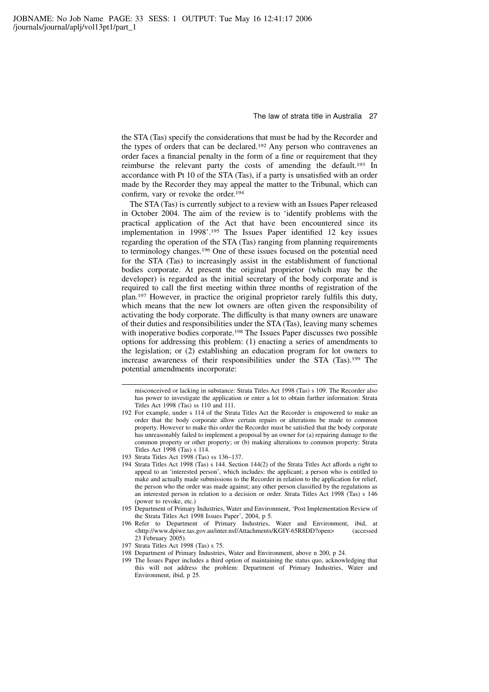the STA (Tas) specify the considerations that must be had by the Recorder and the types of orders that can be declared.<sup>192</sup> Any person who contravenes an order faces a financial penalty in the form of a fine or requirement that they reimburse the relevant party the costs of amending the default.<sup>193</sup> In accordance with Pt 10 of the STA (Tas), if a party is unsatisfied with an order made by the Recorder they may appeal the matter to the Tribunal, which can confirm, vary or revoke the order.<sup>194</sup>

The STA (Tas) is currently subject to a review with an Issues Paper released in October 2004. The aim of the review is to 'identify problems with the practical application of the Act that have been encountered since its implementation in 1998'.<sup>195</sup> The Issues Paper identified 12 key issues regarding the operation of the STA (Tas) ranging from planning requirements to terminology changes.<sup>196</sup> One of these issues focused on the potential need for the STA (Tas) to increasingly assist in the establishment of functional bodies corporate. At present the original proprietor (which may be the developer) is regarded as the initial secretary of the body corporate and is required to call the first meeting within three months of registration of the plan.<sup>197</sup> However, in practice the original proprietor rarely fulfils this duty, which means that the new lot owners are often given the responsibility of activating the body corporate. The difficulty is that many owners are unaware of their duties and responsibilities under the STA (Tas), leaving many schemes with inoperative bodies corporate.<sup>198</sup> The Issues Paper discusses two possible options for addressing this problem: (1) enacting a series of amendments to the legislation; or (2) establishing an education program for lot owners to increase awareness of their responsibilities under the STA (Tas).<sup>199</sup> The potential amendments incorporate:

misconceived or lacking in substance: Strata Titles Act 1998 (Tas) s 109. The Recorder also has power to investigate the application or enter a lot to obtain further information: Strata Titles Act 1998 (Tas) ss 110 and 111.

<sup>192</sup> For example, under s 114 of the Strata Titles Act the Recorder is empowered to make an order that the body corporate allow certain repairs or alterations be made to common property. However to make this order the Recorder must be satisfied that the body corporate has unreasonably failed to implement a proposal by an owner for (a) repairing damage to the common property or other property; or (b) making alterations to common property: Strata Titles Act 1998 (Tas) s 114.

<sup>193</sup> Strata Titles Act 1998 (Tas) ss 136–137.

<sup>194</sup> Strata Titles Act 1998 (Tas) s 144. Section 144(2) of the Strata Titles Act affords a right to appeal to an 'interested person', which includes: the applicant; a person who is entitled to make and actually made submissions to the Recorder in relation to the application for relief, the person who the order was made against; any other person classified by the regulations as an interested person in relation to a decision or order. Strata Titles Act 1998 (Tas) s 146 (power to revoke, etc.)

<sup>195</sup> Department of Primary Industries, Water and Environment, 'Post Implementation Review of the Strata Titles Act 1998 Issues Paper', 2004, p 5.

<sup>196</sup> Refer to Department of Primary Industries, Water and Environment, ibid, at <http://www.dpiwe.tas.gov.au/inter.nsf/Attachments/KGIY-65R8DD?open> (accessed 23 February 2005).

<sup>197</sup> Strata Titles Act 1998 (Tas) s 75.

<sup>198</sup> Department of Primary Industries, Water and Environment, above n 200, p 24.

<sup>199</sup> The Issues Paper includes a third option of maintaining the status quo, acknowledging that this will not address the problem: Department of Primary Industries, Water and Environment, ibid, p 25.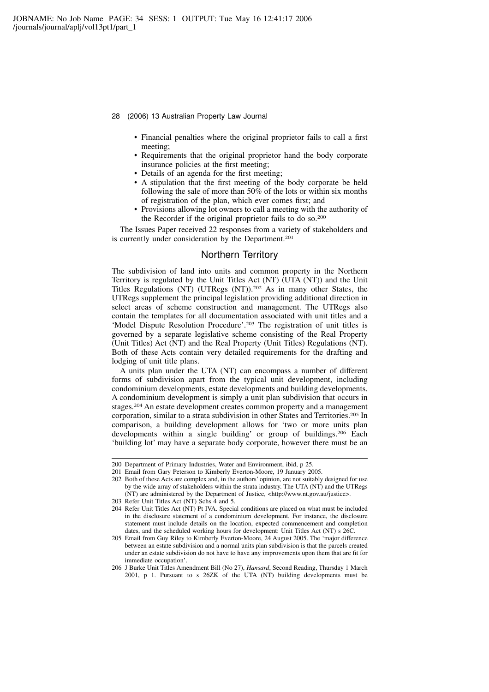- 28 (2006) 13 Australian Property Law Journal
	- Financial penalties where the original proprietor fails to call a first meeting;
	- Requirements that the original proprietor hand the body corporate insurance policies at the first meeting;
	- Details of an agenda for the first meeting;
	- A stipulation that the first meeting of the body corporate be held following the sale of more than 50% of the lots or within six months of registration of the plan, which ever comes first; and
	- Provisions allowing lot owners to call a meeting with the authority of the Recorder if the original proprietor fails to do so.<sup>200</sup>

The Issues Paper received 22 responses from a variety of stakeholders and is currently under consideration by the Department.<sup>201</sup>

# Northern Territory

The subdivision of land into units and common property in the Northern Territory is regulated by the Unit Titles Act (NT) (UTA (NT)) and the Unit Titles Regulations (NT) (UTRegs (NT)).<sup>202</sup> As in many other States, the UTRegs supplement the principal legislation providing additional direction in select areas of scheme construction and management. The UTRegs also contain the templates for all documentation associated with unit titles and a 'Model Dispute Resolution Procedure'.<sup>203</sup> The registration of unit titles is governed by a separate legislative scheme consisting of the Real Property (Unit Titles) Act (NT) and the Real Property (Unit Titles) Regulations (NT). Both of these Acts contain very detailed requirements for the drafting and lodging of unit title plans.

A units plan under the UTA (NT) can encompass a number of different forms of subdivision apart from the typical unit development, including condominium developments, estate developments and building developments. A condominium development is simply a unit plan subdivision that occurs in stages.<sup>204</sup> An estate development creates common property and a management corporation, similar to a strata subdivision in other States and Territories.<sup>205</sup> In comparison, a building development allows for 'two or more units plan developments within a single building' or group of buildings.<sup>206</sup> Each 'building lot' may have a separate body corporate, however there must be an

<sup>200</sup> Department of Primary Industries, Water and Environment, ibid, p 25.

<sup>201</sup> Email from Gary Peterson to Kimberly Everton-Moore, 19 January 2005.

<sup>202</sup> Both of these Acts are complex and, in the authors' opinion, are not suitably designed for use by the wide array of stakeholders within the strata industry. The UTA (NT) and the UTRegs (NT) are administered by the Department of Justice, <http://www.nt.gov.au/justice>.

<sup>203</sup> Refer Unit Titles Act (NT) Schs 4 and 5.

<sup>204</sup> Refer Unit Titles Act (NT) Pt IVA. Special conditions are placed on what must be included in the disclosure statement of a condominium development. For instance, the disclosure statement must include details on the location, expected commencement and completion dates, and the scheduled working hours for development: Unit Titles Act (NT) s 26C.

<sup>205</sup> Email from Guy Riley to Kimberly Everton-Moore, 24 August 2005. The 'major difference between an estate subdivision and a normal units plan subdivision is that the parcels created under an estate subdivision do not have to have any improvements upon them that are fit for immediate occupation'.

<sup>206</sup> J Burke Unit Titles Amendment Bill (No 27), Hansard, Second Reading, Thursday 1 March 2001, p 1. Pursuant to s 26ZK of the UTA (NT) building developments must be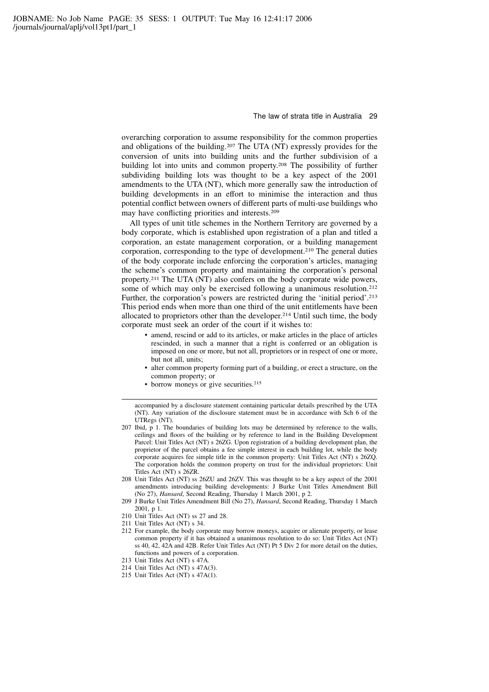overarching corporation to assume responsibility for the common properties and obligations of the building.<sup>207</sup> The UTA (NT) expressly provides for the conversion of units into building units and the further subdivision of a building lot into units and common property.<sup>208</sup> The possibility of further subdividing building lots was thought to be a key aspect of the 2001 amendments to the UTA (NT), which more generally saw the introduction of building developments in an effort to minimise the interaction and thus potential conflict between owners of different parts of multi-use buildings who may have conflicting priorities and interests.<sup>209</sup>

All types of unit title schemes in the Northern Territory are governed by a body corporate, which is established upon registration of a plan and titled a corporation, an estate management corporation, or a building management corporation, corresponding to the type of development.<sup>210</sup> The general duties of the body corporate include enforcing the corporation's articles, managing the scheme's common property and maintaining the corporation's personal property.<sup>211</sup> The UTA (NT) also confers on the body corporate wide powers, some of which may only be exercised following a unanimous resolution.<sup>212</sup> Further, the corporation's powers are restricted during the 'initial period'.<sup>213</sup> This period ends when more than one third of the unit entitlements have been allocated to proprietors other than the developer.<sup>214</sup> Until such time, the body corporate must seek an order of the court if it wishes to:

- amend, rescind or add to its articles, or make articles in the place of articles rescinded, in such a manner that a right is conferred or an obligation is imposed on one or more, but not all, proprietors or in respect of one or more, but not all, units;
- alter common property forming part of a building, or erect a structure, on the common property; or
- borrow moneys or give securities.<sup>215</sup>

- 210 Unit Titles Act (NT) ss 27 and 28.
- 211 Unit Titles Act (NT) s 34.
- 212 For example, the body corporate may borrow moneys, acquire or alienate property, or lease common property if it has obtained a unanimous resolution to do so: Unit Titles Act (NT) ss 40, 42, 42A and 42B. Refer Unit Titles Act (NT) Pt 5 Div 2 for more detail on the duties, functions and powers of a corporation.
- 213 Unit Titles Act (NT) s 47A.
- 214 Unit Titles Act (NT) s 47A(3).
- 215 Unit Titles Act (NT) s 47A(1).

accompanied by a disclosure statement containing particular details prescribed by the UTA (NT). Any variation of the disclosure statement must be in accordance with Sch 6 of the UTRegs (NT).

<sup>207</sup> Ibid, p 1. The boundaries of building lots may be determined by reference to the walls, ceilings and floors of the building or by reference to land in the Building Development Parcel: Unit Titles Act (NT) s 26ZG. Upon registration of a building development plan, the proprietor of the parcel obtains a fee simple interest in each building lot, while the body corporate acquires fee simple title in the common property: Unit Titles Act (NT) s 26ZQ. The corporation holds the common property on trust for the individual proprietors: Unit Titles Act (NT) s 26ZR.

<sup>208</sup> Unit Titles Act (NT) ss 26ZU and 26ZV. This was thought to be a key aspect of the 2001 amendments introducing building developments: J Burke Unit Titles Amendment Bill (No 27), Hansard, Second Reading, Thursday 1 March 2001, p 2.

<sup>209</sup> J Burke Unit Titles Amendment Bill (No 27), Hansard, Second Reading, Thursday 1 March 2001, p 1.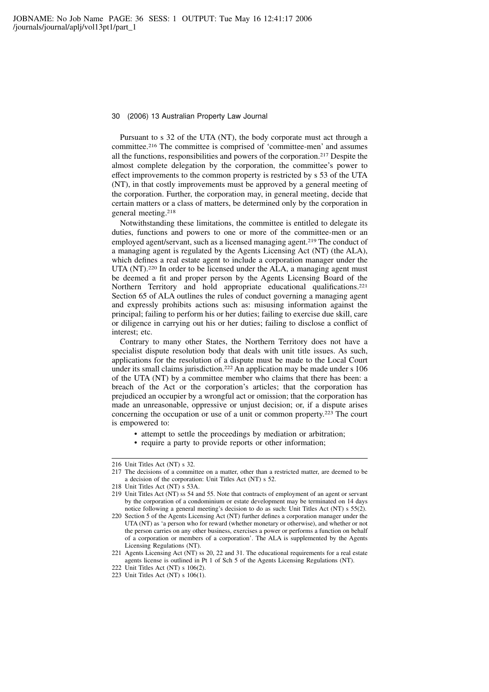Pursuant to s 32 of the UTA (NT), the body corporate must act through a committee.<sup>216</sup> The committee is comprised of 'committee-men' and assumes all the functions, responsibilities and powers of the corporation.<sup>217</sup> Despite the almost complete delegation by the corporation, the committee's power to effect improvements to the common property is restricted by s 53 of the UTA (NT), in that costly improvements must be approved by a general meeting of the corporation. Further, the corporation may, in general meeting, decide that certain matters or a class of matters, be determined only by the corporation in general meeting.<sup>218</sup>

Notwithstanding these limitations, the committee is entitled to delegate its duties, functions and powers to one or more of the committee-men or an employed agent/servant, such as a licensed managing agent.<sup>219</sup> The conduct of a managing agent is regulated by the Agents Licensing Act (NT) (the ALA), which defines a real estate agent to include a corporation manager under the UTA (NT).<sup>220</sup> In order to be licensed under the ALA, a managing agent must be deemed a fit and proper person by the Agents Licensing Board of the Northern Territory and hold appropriate educational qualifications.<sup>221</sup> Section 65 of ALA outlines the rules of conduct governing a managing agent and expressly prohibits actions such as: misusing information against the principal; failing to perform his or her duties; failing to exercise due skill, care or diligence in carrying out his or her duties; failing to disclose a conflict of interest; etc.

Contrary to many other States, the Northern Territory does not have a specialist dispute resolution body that deals with unit title issues. As such, applications for the resolution of a dispute must be made to the Local Court under its small claims jurisdiction.<sup>222</sup> An application may be made under s 106 of the UTA (NT) by a committee member who claims that there has been: a breach of the Act or the corporation's articles; that the corporation has prejudiced an occupier by a wrongful act or omission; that the corporation has made an unreasonable, oppressive or unjust decision; or, if a dispute arises concerning the occupation or use of a unit or common property.<sup>223</sup> The court is empowered to:

- attempt to settle the proceedings by mediation or arbitration;
- require a party to provide reports or other information;

<sup>216</sup> Unit Titles Act (NT) s 32.

<sup>217</sup> The decisions of a committee on a matter, other than a restricted matter, are deemed to be a decision of the corporation: Unit Titles Act (NT) s 52.

<sup>218</sup> Unit Titles Act (NT) s 53A.

<sup>219</sup> Unit Titles Act (NT) ss 54 and 55. Note that contracts of employment of an agent or servant by the corporation of a condominium or estate development may be terminated on 14 days notice following a general meeting's decision to do as such: Unit Titles Act (NT) s 55(2).

<sup>220</sup> Section 5 of the Agents Licensing Act (NT) further defines a corporation manager under the UTA (NT) as 'a person who for reward (whether monetary or otherwise), and whether or not the person carries on any other business, exercises a power or performs a function on behalf of a corporation or members of a corporation'. The ALA is supplemented by the Agents Licensing Regulations (NT).

<sup>221</sup> Agents Licensing Act (NT) ss 20, 22 and 31. The educational requirements for a real estate agents license is outlined in Pt 1 of Sch 5 of the Agents Licensing Regulations (NT).

<sup>222</sup> Unit Titles Act (NT) s 106(2).

<sup>223</sup> Unit Titles Act (NT) s 106(1).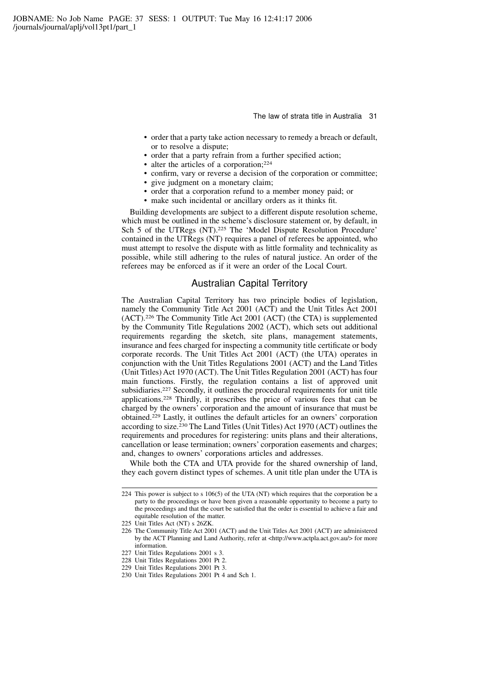- order that a party take action necessary to remedy a breach or default, or to resolve a dispute;
- order that a party refrain from a further specified action;
- alter the articles of a corporation;<sup>224</sup>
- confirm, vary or reverse a decision of the corporation or committee;
- give judgment on a monetary claim;
- order that a corporation refund to a member money paid; or
- make such incidental or ancillary orders as it thinks fit.

Building developments are subject to a different dispute resolution scheme, which must be outlined in the scheme's disclosure statement or, by default, in Sch 5 of the UTRegs (NT).<sup>225</sup> The 'Model Dispute Resolution Procedure' contained in the UTRegs (NT) requires a panel of referees be appointed, who must attempt to resolve the dispute with as little formality and technicality as possible, while still adhering to the rules of natural justice. An order of the referees may be enforced as if it were an order of the Local Court.

### Australian Capital Territory

The Australian Capital Territory has two principle bodies of legislation, namely the Community Title Act 2001 (ACT) and the Unit Titles Act 2001 (ACT).<sup>226</sup> The Community Title Act 2001 (ACT) (the CTA) is supplemented by the Community Title Regulations 2002 (ACT), which sets out additional requirements regarding the sketch, site plans, management statements, insurance and fees charged for inspecting a community title certificate or body corporate records. The Unit Titles Act 2001 (ACT) (the UTA) operates in conjunction with the Unit Titles Regulations 2001 (ACT) and the Land Titles (Unit Titles) Act 1970 (ACT). The Unit Titles Regulation 2001 (ACT) has four main functions. Firstly, the regulation contains a list of approved unit subsidiaries.<sup>227</sup> Secondly, it outlines the procedural requirements for unit title applications.<sup>228</sup> Thirdly, it prescribes the price of various fees that can be charged by the owners' corporation and the amount of insurance that must be obtained.<sup>229</sup> Lastly, it outlines the default articles for an owners' corporation according to size.<sup>230</sup> The Land Titles (Unit Titles) Act 1970 (ACT) outlines the requirements and procedures for registering: units plans and their alterations, cancellation or lease termination; owners' corporation easements and charges; and, changes to owners' corporations articles and addresses.

While both the CTA and UTA provide for the shared ownership of land, they each govern distinct types of schemes. A unit title plan under the UTA is

<sup>224</sup> This power is subject to s 106(5) of the UTA (NT) which requires that the corporation be a party to the proceedings or have been given a reasonable opportunity to become a party to the proceedings and that the court be satisfied that the order is essential to achieve a fair and equitable resolution of the matter.

<sup>225</sup> Unit Titles Act (NT) s 26ZK.

<sup>226</sup> The Community Title Act 2001 (ACT) and the Unit Titles Act 2001 (ACT) are administered by the ACT Planning and Land Authority, refer at <http://www.actpla.act.gov.au/> for more information.

<sup>227</sup> Unit Titles Regulations 2001 s 3.

<sup>228</sup> Unit Titles Regulations 2001 Pt 2.

<sup>229</sup> Unit Titles Regulations 2001 Pt 3.

<sup>230</sup> Unit Titles Regulations 2001 Pt 4 and Sch 1.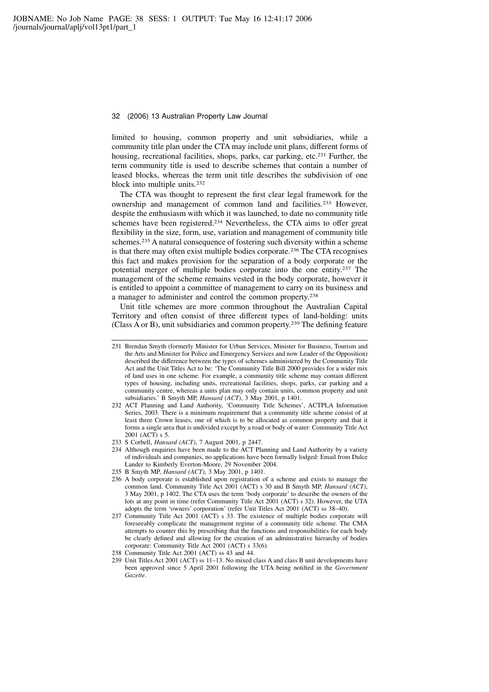limited to housing, common property and unit subsidiaries, while a community title plan under the CTA may include unit plans, different forms of housing, recreational facilities, shops, parks, car parking, etc.<sup>231</sup> Further, the term community title is used to describe schemes that contain a number of leased blocks, whereas the term unit title describes the subdivision of one block into multiple units.<sup>232</sup>

The CTA was thought to represent the first clear legal framework for the ownership and management of common land and facilities.<sup>233</sup> However, despite the enthusiasm with which it was launched, to date no community title schemes have been registered.<sup>234</sup> Nevertheless, the CTA aims to offer great flexibility in the size, form, use, variation and management of community title schemes.<sup>235</sup> A natural consequence of fostering such diversity within a scheme is that there may often exist multiple bodies corporate.<sup>236</sup> The CTA recognises this fact and makes provision for the separation of a body corporate or the potential merger of multiple bodies corporate into the one entity.<sup>237</sup> The management of the scheme remains vested in the body corporate, however it is entitled to appoint a committee of management to carry on its business and a manager to administer and control the common property.<sup>238</sup>

Unit title schemes are more common throughout the Australian Capital Territory and often consist of three different types of land-holding: units (Class A or B), unit subsidiaries and common property.<sup>239</sup> The defining feature

<sup>231</sup> Brendan Smyth (formerly Minister for Urban Services, Minister for Business, Tourism and the Arts and Minister for Police and Emergency Services and now Leader of the Opposition) described the difference between the types of schemes administered by the Community Title Act and the Unit Titles Act to be: 'The Community Title Bill 2000 provides for a wider mix of land uses in one scheme. For example, a community title scheme may contain different types of housing, including units, recreational facilities, shops, parks, car parking and a community centre, whereas a units plan may only contain units, common property and unit subsidiaries.' B Smyth MP, Hansard (ACT), 3 May 2001, p 1401.

<sup>232</sup> ACT Planning and Land Authority, 'Community Title Schemes', ACTPLA Information Series, 2003. There is a minimum requirement that a community title scheme consist of at least three Crown leases, one of which is to be allocated as common property and that it forms a single area that is undivided except by a road or body of water: Community Title Act 2001 (ACT) s 5.

<sup>233</sup> S Corbell, Hansard (ACT), 7 August 2001, p 2447.

<sup>234</sup> Although enquiries have been made to the ACT Planning and Land Authority by a variety of individuals and companies, no applications have been formally lodged: Email from Dulce Lander to Kimberly Everton-Moore, 29 November 2004.

<sup>235</sup> B Smyth MP, Hansard (ACT), 3 May 2001, p 1401.

<sup>236</sup> A body corporate is established upon registration of a scheme and exists to manage the common land. Community Title Act 2001 (ACT) s 30 and B Smyth MP, Hansard (ACT), 3 May 2001, p 1402. The CTA uses the term 'body corporate' to describe the owners of the lots at any point in time (refer Community Title Act 2001 (ACT) s 32). However, the UTA adopts the term 'owners' corporation' (refer Unit Titles Act 2001 (ACT) ss 38–40).

<sup>237</sup> Community Title Act 2001 (ACT) s 33. The existence of multiple bodies corporate will foreseeably complicate the management regime of a community title scheme. The CMA attempts to counter this by prescribing that the functions and responsibilities for each body be clearly defined and allowing for the creation of an administrative hierarchy of bodies corporate: Community Title Act 2001 (ACT) s 33(6).

<sup>238</sup> Community Title Act 2001 (ACT) ss 43 and 44.

<sup>239</sup> Unit Titles Act 2001 (ACT) ss 11–13. No mixed class A and class B unit developments have been approved since 5 April 2001 following the UTA being notified in the Government Gazette.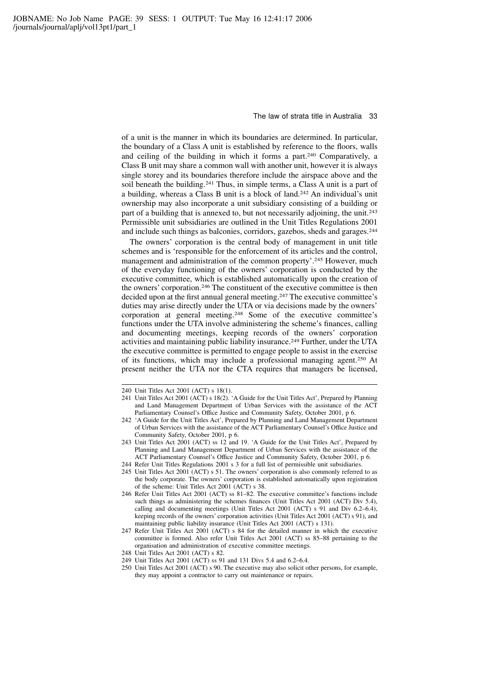of a unit is the manner in which its boundaries are determined. In particular, the boundary of a Class A unit is established by reference to the floors, walls and ceiling of the building in which it forms a part.<sup>240</sup> Comparatively, a Class B unit may share a common wall with another unit, however it is always single storey and its boundaries therefore include the airspace above and the soil beneath the building.<sup>241</sup> Thus, in simple terms, a Class A unit is a part of a building, whereas a Class B unit is a block of land.<sup>242</sup> An individual's unit ownership may also incorporate a unit subsidiary consisting of a building or part of a building that is annexed to, but not necessarily adjoining, the unit.<sup>243</sup> Permissible unit subsidiaries are outlined in the Unit Titles Regulations 2001 and include such things as balconies, corridors, gazebos, sheds and garages.<sup>244</sup>

The owners' corporation is the central body of management in unit title schemes and is 'responsible for the enforcement of its articles and the control, management and administration of the common property'.<sup>245</sup> However, much of the everyday functioning of the owners' corporation is conducted by the executive committee, which is established automatically upon the creation of the owners' corporation.<sup>246</sup> The constituent of the executive committee is then decided upon at the first annual general meeting.<sup>247</sup> The executive committee's duties may arise directly under the UTA or via decisions made by the owners' corporation at general meeting.<sup>248</sup> Some of the executive committee's functions under the UTA involve administering the scheme's finances, calling and documenting meetings, keeping records of the owners' corporation activities and maintaining public liability insurance.<sup>249</sup> Further, under the UTA the executive committee is permitted to engage people to assist in the exercise of its functions, which may include a professional managing agent.<sup>250</sup> At present neither the UTA nor the CTA requires that managers be licensed,

<sup>240</sup> Unit Titles Act 2001 (ACT) s 18(1).

<sup>241</sup> Unit Titles Act 2001 (ACT) s 18(2). 'A Guide for the Unit Titles Act', Prepared by Planning and Land Management Department of Urban Services with the assistance of the ACT Parliamentary Counsel's Office Justice and Community Safety, October 2001, p 6.

<sup>242 &#</sup>x27;A Guide for the Unit Titles Act', Prepared by Planning and Land Management Department of Urban Services with the assistance of the ACT Parliamentary Counsel's Office Justice and Community Safety, October 2001, p 6.

<sup>243</sup> Unit Titles Act 2001 (ACT) ss 12 and 19. 'A Guide for the Unit Titles Act', Prepared by Planning and Land Management Department of Urban Services with the assistance of the ACT Parliamentary Counsel's Office Justice and Community Safety, October 2001, p 6.

<sup>244</sup> Refer Unit Titles Regulations 2001 s 3 for a full list of permissible unit subsidiaries.

<sup>245</sup> Unit Titles Act 2001 (ACT) s 51. The owners' corporation is also commonly referred to as the body corporate. The owners' corporation is established automatically upon registration of the scheme: Unit Titles Act 2001 (ACT) s 38.

<sup>246</sup> Refer Unit Titles Act 2001 (ACT) ss 81–82. The executive committee's functions include such things as administering the schemes finances (Unit Titles Act 2001 (ACT) Div 5.4), calling and documenting meetings (Unit Titles Act 2001 (ACT) s 91 and Div 6.2–6.4), keeping records of the owners' corporation activities (Unit Titles Act 2001 (ACT) s 91), and maintaining public liability insurance (Unit Titles Act 2001 (ACT) s 131).

<sup>247</sup> Refer Unit Titles Act 2001 (ACT) s 84 for the detailed manner in which the executive committee is formed. Also refer Unit Titles Act 2001 (ACT) ss 85–88 pertaining to the organisation and administration of executive committee meetings.

<sup>248</sup> Unit Titles Act 2001 (ACT) s 82.

<sup>249</sup> Unit Titles Act 2001 (ACT) ss 91 and 131 Divs 5.4 and 6.2–6.4.

<sup>250</sup> Unit Titles Act 2001 (ACT) s 90. The executive may also solicit other persons, for example, they may appoint a contractor to carry out maintenance or repairs.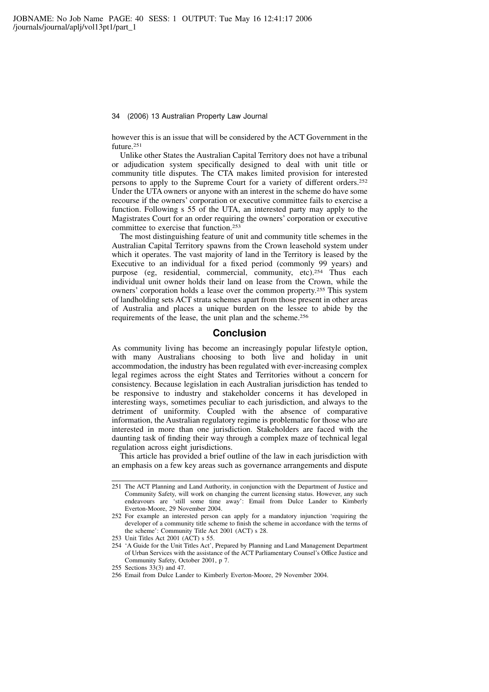however this is an issue that will be considered by the ACT Government in the future.<sup>251</sup>

Unlike other States the Australian Capital Territory does not have a tribunal or adjudication system specifically designed to deal with unit title or community title disputes. The CTA makes limited provision for interested persons to apply to the Supreme Court for a variety of different orders.<sup>252</sup> Under the UTA owners or anyone with an interest in the scheme do have some recourse if the owners' corporation or executive committee fails to exercise a function. Following s 55 of the UTA, an interested party may apply to the Magistrates Court for an order requiring the owners' corporation or executive committee to exercise that function.<sup>253</sup>

The most distinguishing feature of unit and community title schemes in the Australian Capital Territory spawns from the Crown leasehold system under which it operates. The vast majority of land in the Territory is leased by the Executive to an individual for a fixed period (commonly 99 years) and purpose (eg, residential, commercial, community, etc).<sup>254</sup> Thus each individual unit owner holds their land on lease from the Crown, while the owners' corporation holds a lease over the common property.<sup>255</sup> This system of landholding sets ACT strata schemes apart from those present in other areas of Australia and places a unique burden on the lessee to abide by the requirements of the lease, the unit plan and the scheme.<sup>256</sup>

### Conclusion

As community living has become an increasingly popular lifestyle option, with many Australians choosing to both live and holiday in unit accommodation, the industry has been regulated with ever-increasing complex legal regimes across the eight States and Territories without a concern for consistency. Because legislation in each Australian jurisdiction has tended to be responsive to industry and stakeholder concerns it has developed in interesting ways, sometimes peculiar to each jurisdiction, and always to the detriment of uniformity. Coupled with the absence of comparative information, the Australian regulatory regime is problematic for those who are interested in more than one jurisdiction. Stakeholders are faced with the daunting task of finding their way through a complex maze of technical legal regulation across eight jurisdictions.

This article has provided a brief outline of the law in each jurisdiction with an emphasis on a few key areas such as governance arrangements and dispute

<sup>251</sup> The ACT Planning and Land Authority, in conjunction with the Department of Justice and Community Safety, will work on changing the current licensing status. However, any such endeavours are 'still some time away': Email from Dulce Lander to Kimberly Everton-Moore, 29 November 2004.

<sup>252</sup> For example an interested person can apply for a mandatory injunction 'requiring the developer of a community title scheme to finish the scheme in accordance with the terms of the scheme': Community Title Act 2001 (ACT) s 28.

<sup>253</sup> Unit Titles Act 2001 (ACT) s 55.

<sup>254 &#</sup>x27;A Guide for the Unit Titles Act', Prepared by Planning and Land Management Department of Urban Services with the assistance of the ACT Parliamentary Counsel's Office Justice and Community Safety, October 2001, p 7.

<sup>255</sup> Sections 33(3) and 47.

<sup>256</sup> Email from Dulce Lander to Kimberly Everton-Moore, 29 November 2004.